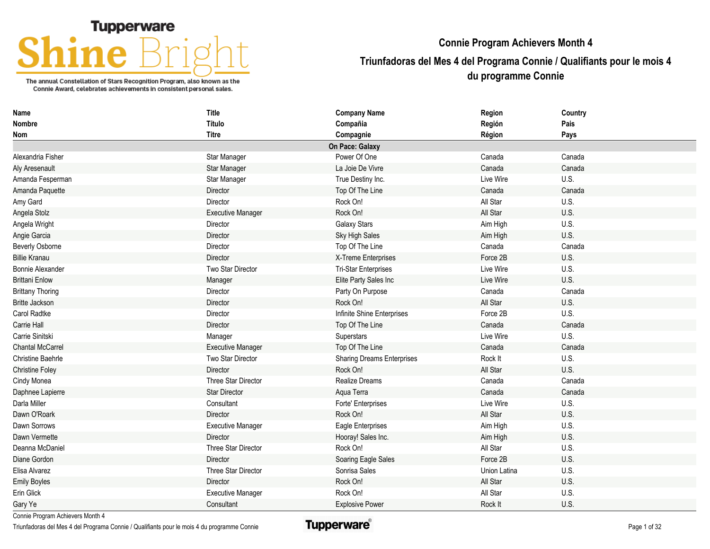## **Tupperware**

The annual Constellation of Stars Recognition Program, also known as the Connie Award, celebrates achievements in consistent personal sales.

## **Connie Program Achievers Month 4**

## **Triunfadoras del Mes 4 del Programa Connie / Qualifiants pour le mois 4 du programme Connie**

| Name                     | <b>Title</b>             | <b>Company Name</b>               | Region       | Country |
|--------------------------|--------------------------|-----------------------------------|--------------|---------|
| Nombre                   | <b>Título</b>            | Compañia                          | Región       | Pais    |
| <b>Nom</b>               | <b>Titre</b>             | Compagnie                         | Région       | Pays    |
|                          |                          | On Pace: Galaxy                   |              |         |
| Alexandria Fisher        | Star Manager             | Power Of One                      | Canada       | Canada  |
| Aly Aresenault           | Star Manager             | La Joie De Vivre                  | Canada       | Canada  |
| Amanda Fesperman         | Star Manager             | True Destiny Inc.                 | Live Wire    | U.S.    |
| Amanda Paquette          | Director                 | Top Of The Line                   | Canada       | Canada  |
| Amy Gard                 | Director                 | Rock On!                          | All Star     | U.S.    |
| Angela Stolz             | <b>Executive Manager</b> | Rock On!                          | All Star     | U.S.    |
| Angela Wright            | Director                 | <b>Galaxy Stars</b>               | Aim High     | U.S.    |
| Angie Garcia             | Director                 | Sky High Sales                    | Aim High     | U.S.    |
| Beverly Osborne          | Director                 | Top Of The Line                   | Canada       | Canada  |
| <b>Billie Kranau</b>     | Director                 | X-Treme Enterprises               | Force 2B     | U.S.    |
| <b>Bonnie Alexander</b>  | Two Star Director        | <b>Tri-Star Enterprises</b>       | Live Wire    | U.S.    |
| <b>Brittani Enlow</b>    | Manager                  | Elite Party Sales Inc             | Live Wire    | U.S.    |
| <b>Brittany Thoring</b>  | Director                 | Party On Purpose                  | Canada       | Canada  |
| <b>Britte Jackson</b>    | Director                 | Rock On!                          | All Star     | U.S.    |
| Carol Radtke             | Director                 | Infinite Shine Enterprises        | Force 2B     | U.S.    |
| Carrie Hall              | Director                 | Top Of The Line                   | Canada       | Canada  |
| Carrie Sinitski          | Manager                  | Superstars                        | Live Wire    | U.S.    |
| <b>Chantal McCarrel</b>  | <b>Executive Manager</b> | Top Of The Line                   | Canada       | Canada  |
| <b>Christine Baehrle</b> | Two Star Director        | <b>Sharing Dreams Enterprises</b> | Rock It      | U.S.    |
| <b>Christine Foley</b>   | Director                 | Rock On!                          | All Star     | U.S.    |
| Cindy Monea              | Three Star Director      | <b>Realize Dreams</b>             | Canada       | Canada  |
| Daphnee Lapierre         | <b>Star Director</b>     | Aqua Terra                        | Canada       | Canada  |
| Darla Miller             | Consultant               | Forte' Enterprises                | Live Wire    | U.S.    |
| Dawn O'Roark             | Director                 | Rock On!                          | All Star     | U.S.    |
| Dawn Sorrows             | <b>Executive Manager</b> | Eagle Enterprises                 | Aim High     | U.S.    |
| Dawn Vermette            | Director                 | Hooray! Sales Inc.                | Aim High     | U.S.    |
| Deanna McDaniel          | Three Star Director      | Rock On!                          | All Star     | U.S.    |
| Diane Gordon             | Director                 | Soaring Eagle Sales               | Force 2B     | U.S.    |
| Elisa Alvarez            | Three Star Director      | Sonrisa Sales                     | Union Latina | U.S.    |
| <b>Emily Boyles</b>      | <b>Director</b>          | Rock On!                          | All Star     | U.S.    |
| Erin Glick               | Executive Manager        | Rock On!                          | All Star     | U.S.    |
| Gary Ye                  | Consultant               | <b>Explosive Power</b>            | Rock It      | U.S.    |

Connie Program Achievers Month 4

Triunfadoras del Mes 4 del Programa Connie / Qualifiants pour le mois 4 du programme Connie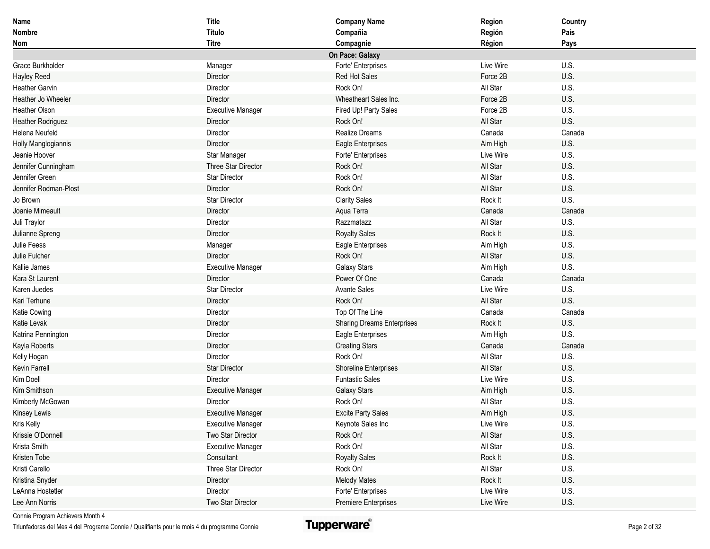| Name                     | <b>Title</b>             | <b>Company Name</b>               | Region    | Country |
|--------------------------|--------------------------|-----------------------------------|-----------|---------|
| Nombre                   | Título                   | Compañia                          | Región    | Pais    |
| Nom                      | <b>Titre</b>             | Compagnie                         | Région    | Pays    |
|                          |                          | On Pace: Galaxy                   |           |         |
| Grace Burkholder         | Manager                  | Forte' Enterprises                | Live Wire | U.S.    |
| <b>Hayley Reed</b>       | Director                 | Red Hot Sales                     | Force 2B  | U.S.    |
| <b>Heather Garvin</b>    | Director                 | Rock On!                          | All Star  | U.S.    |
| Heather Jo Wheeler       | Director                 | Wheatheart Sales Inc.             | Force 2B  | U.S.    |
| Heather Olson            | <b>Executive Manager</b> | Fired Up! Party Sales             | Force 2B  | U.S.    |
| <b>Heather Rodriguez</b> | Director                 | Rock On!                          | All Star  | U.S.    |
| Helena Neufeld           | Director                 | Realize Dreams                    | Canada    | Canada  |
| Holly Manglogiannis      | Director                 | <b>Eagle Enterprises</b>          | Aim High  | U.S.    |
| Jeanie Hoover            | Star Manager             | Forte' Enterprises                | Live Wire | U.S.    |
| Jennifer Cunningham      | Three Star Director      | Rock On!                          | All Star  | U.S.    |
| Jennifer Green           | <b>Star Director</b>     | Rock On!                          | All Star  | U.S.    |
| Jennifer Rodman-Plost    | Director                 | Rock On!                          | All Star  | U.S.    |
| Jo Brown                 | Star Director            | <b>Clarity Sales</b>              | Rock It   | U.S.    |
| Joanie Mimeault          | Director                 | Aqua Terra                        | Canada    | Canada  |
| Juli Traylor             | Director                 | Razzmatazz                        | All Star  | U.S.    |
| Julianne Spreng          | Director                 | <b>Royalty Sales</b>              | Rock It   | U.S.    |
| Julie Feess              | Manager                  | Eagle Enterprises                 | Aim High  | U.S.    |
| Julie Fulcher            | Director                 | Rock On!                          | All Star  | U.S.    |
| Kallie James             | <b>Executive Manager</b> | <b>Galaxy Stars</b>               | Aim High  | U.S.    |
| Kara St Laurent          | Director                 | Power Of One                      | Canada    | Canada  |
| Karen Juedes             | <b>Star Director</b>     | <b>Avante Sales</b>               | Live Wire | U.S.    |
| Kari Terhune             | Director                 | Rock On!                          | All Star  | U.S.    |
| Katie Cowing             | Director                 | Top Of The Line                   | Canada    | Canada  |
| Katie Levak              | Director                 | <b>Sharing Dreams Enterprises</b> | Rock It   | U.S.    |
| Katrina Pennington       | Director                 | Eagle Enterprises                 | Aim High  | U.S.    |
| Kayla Roberts            | Director                 | <b>Creating Stars</b>             | Canada    | Canada  |
| Kelly Hogan              | Director                 | Rock On!                          | All Star  | U.S.    |
| <b>Kevin Farrell</b>     | <b>Star Director</b>     | <b>Shoreline Enterprises</b>      | All Star  | U.S.    |
| Kim Doell                | Director                 | <b>Funtastic Sales</b>            | Live Wire | U.S.    |
| Kim Smithson             | <b>Executive Manager</b> | <b>Galaxy Stars</b>               | Aim High  | U.S.    |
| Kimberly McGowan         | Director                 | Rock On!                          | All Star  | U.S.    |
| <b>Kinsey Lewis</b>      | <b>Executive Manager</b> | <b>Excite Party Sales</b>         | Aim High  | U.S.    |
| Kris Kelly               | <b>Executive Manager</b> | Keynote Sales Inc                 | Live Wire | U.S.    |
| Krissie O'Donnell        | Two Star Director        | Rock On!                          | All Star  | U.S.    |
| Krista Smith             | <b>Executive Manager</b> | Rock On!                          | All Star  | U.S.    |
| Kristen Tobe             | Consultant               | <b>Royalty Sales</b>              | Rock It   | U.S.    |
| Kristi Carello           | Three Star Director      | Rock On!                          | All Star  | U.S.    |
| Kristina Snyder          | Director                 | <b>Melody Mates</b>               | Rock It   | U.S.    |
| LeAnna Hostetler         | Director                 | Forte' Enterprises                | Live Wire | U.S.    |
| Lee Ann Norris           | Two Star Director        | Premiere Enterprises              | Live Wire | U.S.    |

Triunfadoras del Mes 4 del Programa Connie / Qualifiants pour le mois 4 du programme Connie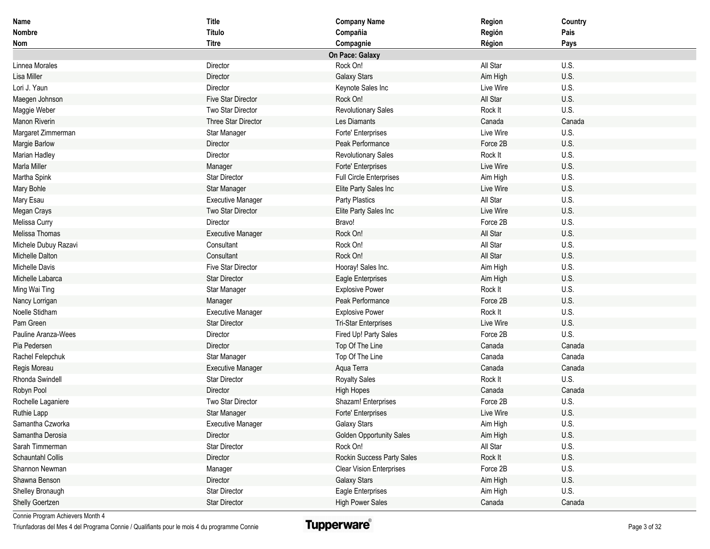| Name                 | <b>Title</b>              | <b>Company Name</b>             | Region    | Country |
|----------------------|---------------------------|---------------------------------|-----------|---------|
| Nombre               | Título                    | Compañia                        | Región    | Pais    |
| Nom                  | <b>Titre</b>              | Compagnie                       | Région    | Pays    |
|                      |                           | On Pace: Galaxy                 |           |         |
| Linnea Morales       | Director                  | Rock On!                        | All Star  | U.S.    |
| Lisa Miller          | Director                  | <b>Galaxy Stars</b>             | Aim High  | U.S.    |
| Lori J. Yaun         | Director                  | Keynote Sales Inc               | Live Wire | U.S.    |
| Maegen Johnson       | <b>Five Star Director</b> | Rock On!                        | All Star  | U.S.    |
| Maggie Weber         | Two Star Director         | <b>Revolutionary Sales</b>      | Rock It   | U.S.    |
| <b>Manon Riverin</b> | Three Star Director       | Les Diamants                    | Canada    | Canada  |
| Margaret Zimmerman   | Star Manager              | Forte' Enterprises              | Live Wire | U.S.    |
| Margie Barlow        | Director                  | Peak Performance                | Force 2B  | U.S.    |
| Marian Hadley        | Director                  | <b>Revolutionary Sales</b>      | Rock It   | U.S.    |
| <b>Marla Miller</b>  | Manager                   | Forte' Enterprises              | Live Wire | U.S.    |
| Martha Spink         | <b>Star Director</b>      | <b>Full Circle Enterprises</b>  | Aim High  | U.S.    |
| Mary Bohle           | <b>Star Manager</b>       | Elite Party Sales Inc           | Live Wire | U.S.    |
| Mary Esau            | <b>Executive Manager</b>  | Party Plastics                  | All Star  | U.S.    |
| Megan Crays          | Two Star Director         | Elite Party Sales Inc           | Live Wire | U.S.    |
| Melissa Curry        | Director                  | Bravo!                          | Force 2B  | U.S.    |
| Melissa Thomas       | <b>Executive Manager</b>  | Rock On!                        | All Star  | U.S.    |
| Michele Dubuy Razavi | Consultant                | Rock On!                        | All Star  | U.S.    |
| Michelle Dalton      | Consultant                | Rock On!                        | All Star  | U.S.    |
| Michelle Davis       | <b>Five Star Director</b> | Hooray! Sales Inc.              | Aim High  | U.S.    |
| Michelle Labarca     | <b>Star Director</b>      | Eagle Enterprises               | Aim High  | U.S.    |
| Ming Wai Ting        | Star Manager              | <b>Explosive Power</b>          | Rock It   | U.S.    |
| Nancy Lorrigan       | Manager                   | Peak Performance                | Force 2B  | U.S.    |
| Noelle Stidham       | <b>Executive Manager</b>  | <b>Explosive Power</b>          | Rock It   | U.S.    |
| Pam Green            | <b>Star Director</b>      | <b>Tri-Star Enterprises</b>     | Live Wire | U.S.    |
| Pauline Aranza-Wees  | Director                  | Fired Up! Party Sales           | Force 2B  | U.S.    |
| Pia Pedersen         | Director                  | Top Of The Line                 | Canada    | Canada  |
| Rachel Felepchuk     | Star Manager              | Top Of The Line                 | Canada    | Canada  |
| Regis Moreau         | <b>Executive Manager</b>  | Aqua Terra                      | Canada    | Canada  |
| Rhonda Swindell      | <b>Star Director</b>      | <b>Royalty Sales</b>            | Rock It   | U.S.    |
| Robyn Pool           | Director                  | <b>High Hopes</b>               | Canada    | Canada  |
| Rochelle Laganiere   | Two Star Director         | Shazam! Enterprises             | Force 2B  | U.S.    |
| Ruthie Lapp          | Star Manager              | Forte' Enterprises              | Live Wire | U.S.    |
| Samantha Czworka     | <b>Executive Manager</b>  | <b>Galaxy Stars</b>             | Aim High  | U.S.    |
| Samantha Derosia     | Director                  | <b>Golden Opportunity Sales</b> | Aim High  | U.S.    |
| Sarah Timmerman      | Star Director             | Rock On!                        | All Star  | U.S.    |
| Schauntahl Collis    | Director                  | Rockin Success Party Sales      | Rock It   | U.S.    |
| Shannon Newman       | Manager                   | <b>Clear Vision Enterprises</b> | Force 2B  | U.S.    |
| Shawna Benson        | Director                  | <b>Galaxy Stars</b>             | Aim High  | U.S.    |
| Shelley Bronaugh     | <b>Star Director</b>      | Eagle Enterprises               | Aim High  | U.S.    |
| Shelly Goertzen      | <b>Star Director</b>      | <b>High Power Sales</b>         | Canada    | Canada  |

Triunfadoras del Mes 4 del Programa Connie / Qualifiants pour le mois 4 du programme Connie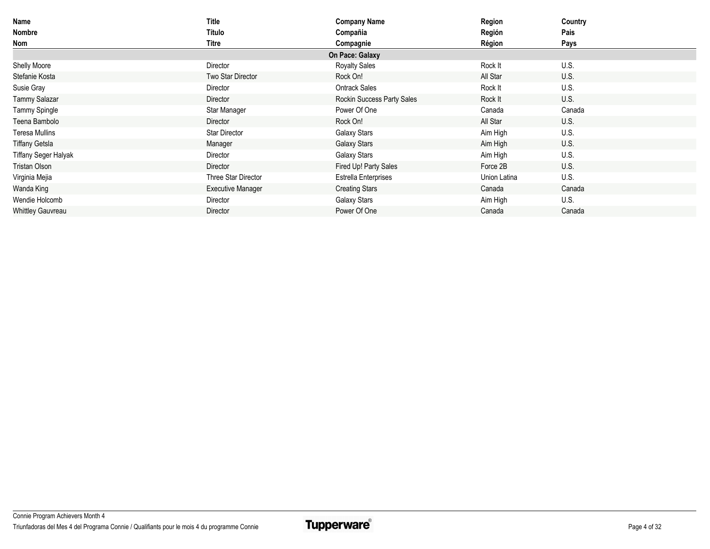| Name                        | Title                    | <b>Company Name</b>         | Region       | Country |
|-----------------------------|--------------------------|-----------------------------|--------------|---------|
| Nombre                      | Título                   | Compañia                    | Región       | Pais    |
| Nom                         | Titre                    | Compagnie                   | Région       | Pays    |
|                             |                          | On Pace: Galaxy             |              |         |
| Shelly Moore                | Director                 | <b>Royalty Sales</b>        | Rock It      | U.S.    |
| Stefanie Kosta              | Two Star Director        | Rock On!                    | All Star     | U.S.    |
| Susie Gray                  | Director                 | <b>Ontrack Sales</b>        | Rock It      | U.S.    |
| <b>Tammy Salazar</b>        | Director                 | Rockin Success Party Sales  | Rock It      | U.S.    |
| Tammy Spingle               | Star Manager             | Power Of One                | Canada       | Canada  |
| Teena Bambolo               | Director                 | Rock On!                    | All Star     | U.S.    |
| <b>Teresa Mullins</b>       | <b>Star Director</b>     | Galaxy Stars                | Aim High     | U.S.    |
| Tiffany Getsla              | Manager                  | Galaxy Stars                | Aim High     | U.S.    |
| <b>Tiffany Seger Halyak</b> | Director                 | Galaxy Stars                | Aim High     | U.S.    |
| Tristan Olson               | Director                 | Fired Up! Party Sales       | Force 2B     | U.S.    |
| Virginia Mejia              | Three Star Director      | <b>Estrella Enterprises</b> | Union Latina | U.S.    |
| Wanda King                  | <b>Executive Manager</b> | <b>Creating Stars</b>       | Canada       | Canada  |
| Wendie Holcomb              | Director                 | Galaxy Stars                | Aim High     | U.S.    |
| <b>Whittley Gauvreau</b>    | Director                 | Power Of One                | Canada       | Canada  |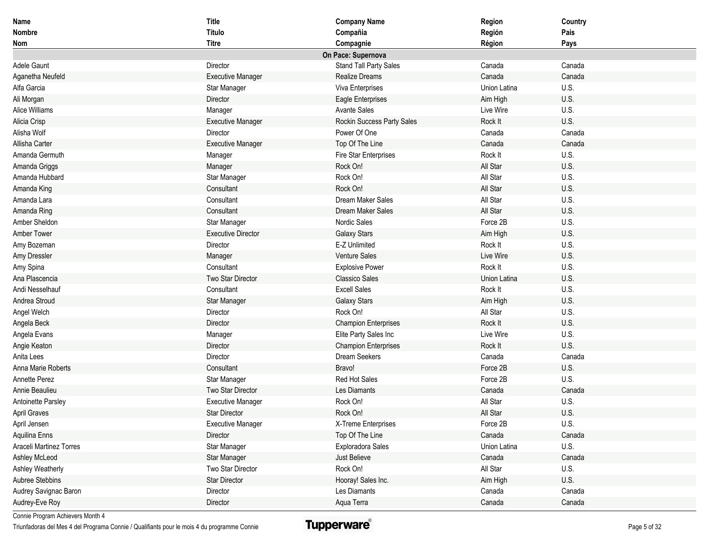| <b>Name</b>             | <b>Title</b>              | <b>Company Name</b>         | Region       | Country |
|-------------------------|---------------------------|-----------------------------|--------------|---------|
| Nombre                  | Título                    | Compañia                    | Región       | Pais    |
| Nom                     | <b>Titre</b>              | Compagnie                   | Région       | Pays    |
|                         |                           | On Pace: Supernova          |              |         |
| Adele Gaunt             | Director                  | Stand Tall Party Sales      | Canada       | Canada  |
| Aganetha Neufeld        | <b>Executive Manager</b>  | <b>Realize Dreams</b>       | Canada       | Canada  |
| Alfa Garcia             | Star Manager              | Viva Enterprises            | Union Latina | U.S.    |
| Ali Morgan              | Director                  | Eagle Enterprises           | Aim High     | U.S.    |
| Alice Williams          | Manager                   | <b>Avante Sales</b>         | Live Wire    | U.S.    |
| Alicia Crisp            | <b>Executive Manager</b>  | Rockin Success Party Sales  | Rock It      | U.S.    |
| Alisha Wolf             | Director                  | Power Of One                | Canada       | Canada  |
| Allisha Carter          | <b>Executive Manager</b>  | Top Of The Line             | Canada       | Canada  |
| Amanda Germuth          | Manager                   | Fire Star Enterprises       | Rock It      | U.S.    |
| Amanda Griggs           | Manager                   | Rock On!                    | All Star     | U.S.    |
| Amanda Hubbard          | Star Manager              | Rock On!                    | All Star     | U.S.    |
| Amanda King             | Consultant                | Rock On!                    | All Star     | U.S.    |
| Amanda Lara             | Consultant                | Dream Maker Sales           | All Star     | U.S.    |
| Amanda Ring             | Consultant                | Dream Maker Sales           | All Star     | U.S.    |
| Amber Sheldon           | Star Manager              | Nordic Sales                | Force 2B     | U.S.    |
| <b>Amber Tower</b>      | <b>Executive Director</b> | <b>Galaxy Stars</b>         | Aim High     | U.S.    |
| Amy Bozeman             | Director                  | E-Z Unlimited               | Rock It      | U.S.    |
| Amy Dressler            | Manager                   | Venture Sales               | Live Wire    | U.S.    |
| Amy Spina               | Consultant                | <b>Explosive Power</b>      | Rock It      | U.S.    |
| Ana Plascencia          | Two Star Director         | <b>Classico Sales</b>       | Union Latina | U.S.    |
| Andi Nesselhauf         | Consultant                | <b>Excell Sales</b>         | Rock It      | U.S.    |
| Andrea Stroud           | Star Manager              | <b>Galaxy Stars</b>         | Aim High     | U.S.    |
| Angel Welch             | Director                  | Rock On!                    | All Star     | U.S.    |
| Angela Beck             | Director                  | <b>Champion Enterprises</b> | Rock It      | U.S.    |
| Angela Evans            | Manager                   | Elite Party Sales Inc       | Live Wire    | U.S.    |
| Angie Keaton            | Director                  | <b>Champion Enterprises</b> | Rock It      | U.S.    |
| Anita Lees              | Director                  | Dream Seekers               | Canada       | Canada  |
| Anna Marie Roberts      | Consultant                | Bravo!                      | Force 2B     | U.S.    |
| Annette Perez           | Star Manager              | Red Hot Sales               | Force 2B     | U.S.    |
| Annie Beaulieu          | Two Star Director         | Les Diamants                | Canada       | Canada  |
| Antoinette Parsley      | <b>Executive Manager</b>  | Rock On!                    | All Star     | U.S.    |
| <b>April Graves</b>     | <b>Star Director</b>      | Rock On!                    | All Star     | U.S.    |
| April Jensen            | <b>Executive Manager</b>  | X-Treme Enterprises         | Force 2B     | U.S.    |
| Aquilina Enns           | Director                  | Top Of The Line             | Canada       | Canada  |
| Araceli Martinez Torres | Star Manager              | Exploradora Sales           | Union Latina | U.S.    |
| Ashley McLeod           | Star Manager              | Just Believe                | Canada       | Canada  |
| Ashley Weatherly        | Two Star Director         | Rock On!                    | All Star     | U.S.    |
| Aubree Stebbins         | <b>Star Director</b>      | Hooray! Sales Inc.          | Aim High     | U.S.    |
| Audrey Savignac Baron   | Director                  | Les Diamants                | Canada       | Canada  |
| Audrey-Eve Roy          | Director                  | Aqua Terra                  | Canada       | Canada  |

Triunfadoras del Mes 4 del Programa Connie / Qualifiants pour le mois 4 du programme Connie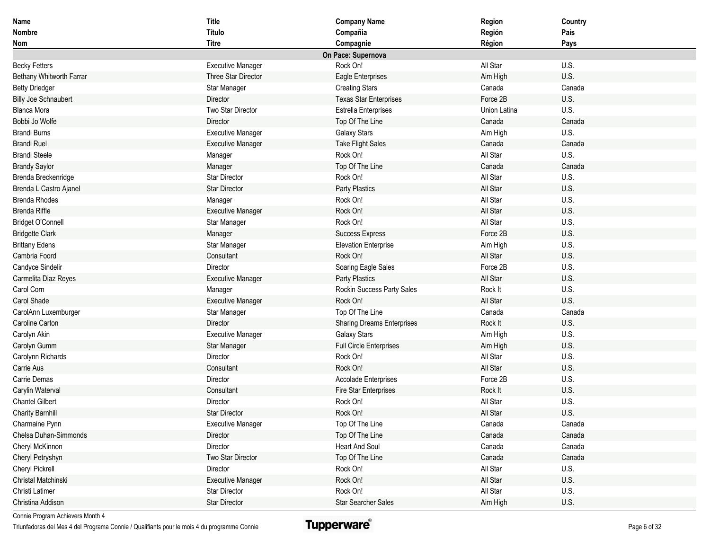| Name                        | <b>Title</b>             | <b>Company Name</b>               | Region       | Country |
|-----------------------------|--------------------------|-----------------------------------|--------------|---------|
| <b>Nombre</b>               | Título                   | Compañia                          | Región       | Pais    |
| Nom                         | <b>Titre</b>             | Compagnie                         | Région       | Pays    |
|                             |                          | On Pace: Supernova                |              |         |
| <b>Becky Fetters</b>        | <b>Executive Manager</b> | Rock On!                          | All Star     | U.S.    |
| Bethany Whitworth Farrar    | Three Star Director      | Eagle Enterprises                 | Aim High     | U.S.    |
| <b>Betty Driedger</b>       | Star Manager             | <b>Creating Stars</b>             | Canada       | Canada  |
| <b>Billy Joe Schnaubert</b> | Director                 | <b>Texas Star Enterprises</b>     | Force 2B     | U.S.    |
| <b>Blanca Mora</b>          | Two Star Director        | <b>Estrella Enterprises</b>       | Union Latina | U.S.    |
| Bobbi Jo Wolfe              | Director                 | Top Of The Line                   | Canada       | Canada  |
| <b>Brandi Burns</b>         | <b>Executive Manager</b> | <b>Galaxy Stars</b>               | Aim High     | U.S.    |
| <b>Brandi Ruel</b>          | <b>Executive Manager</b> | <b>Take Flight Sales</b>          | Canada       | Canada  |
| <b>Brandi Steele</b>        | Manager                  | Rock On!                          | All Star     | U.S.    |
| <b>Brandy Saylor</b>        | Manager                  | Top Of The Line                   | Canada       | Canada  |
| Brenda Breckenridge         | Star Director            | Rock On!                          | All Star     | U.S.    |
| Brenda L Castro Ajanel      | <b>Star Director</b>     | Party Plastics                    | All Star     | U.S.    |
| <b>Brenda Rhodes</b>        | Manager                  | Rock On!                          | All Star     | U.S.    |
| <b>Brenda Riffle</b>        | <b>Executive Manager</b> | Rock On!                          | All Star     | U.S.    |
| <b>Bridget O'Connell</b>    | Star Manager             | Rock On!                          | All Star     | U.S.    |
| <b>Bridgette Clark</b>      | Manager                  | <b>Success Express</b>            | Force 2B     | U.S.    |
| <b>Brittany Edens</b>       | Star Manager             | <b>Elevation Enterprise</b>       | Aim High     | U.S.    |
| Cambria Foord               | Consultant               | Rock On!                          | All Star     | U.S.    |
| Candyce Sindelir            | Director                 | Soaring Eagle Sales               | Force 2B     | U.S.    |
| Carmelita Diaz Reyes        | <b>Executive Manager</b> | Party Plastics                    | All Star     | U.S.    |
| Carol Corn                  | Manager                  | Rockin Success Party Sales        | Rock It      | U.S.    |
| Carol Shade                 | <b>Executive Manager</b> | Rock On!                          | All Star     | U.S.    |
| CarolAnn Luxemburger        | Star Manager             | Top Of The Line                   | Canada       | Canada  |
| Caroline Carton             | Director                 | <b>Sharing Dreams Enterprises</b> | Rock It      | U.S.    |
| Carolyn Akin                | <b>Executive Manager</b> | <b>Galaxy Stars</b>               | Aim High     | U.S.    |
| Carolyn Gumm                | Star Manager             | <b>Full Circle Enterprises</b>    | Aim High     | U.S.    |
| Carolynn Richards           | Director                 | Rock On!                          | All Star     | U.S.    |
| Carrie Aus                  | Consultant               | Rock On!                          | All Star     | U.S.    |
| Carrie Demas                | Director                 | <b>Accolade Enterprises</b>       | Force 2B     | U.S.    |
| Carylin Waterval            | Consultant               | Fire Star Enterprises             | Rock It      | U.S.    |
| <b>Chantel Gilbert</b>      | Director                 | Rock On!                          | All Star     | U.S.    |
| <b>Charity Barnhill</b>     | <b>Star Director</b>     | Rock On!                          | All Star     | U.S.    |
| Charmaine Pynn              | <b>Executive Manager</b> | Top Of The Line                   | Canada       | Canada  |
| Chelsa Duhan-Simmonds       | Director                 | Top Of The Line                   | Canada       | Canada  |
| Cheryl McKinnon             | Director                 | <b>Heart And Soul</b>             | Canada       | Canada  |
| Cheryl Petryshyn            | Two Star Director        | Top Of The Line                   | Canada       | Canada  |
| Cheryl Pickrell             | Director                 | Rock On!                          | All Star     | U.S.    |
| Christal Matchinski         | <b>Executive Manager</b> | Rock On!                          | All Star     | U.S.    |
| Christi Latimer             | Star Director            | Rock On!                          | All Star     | U.S.    |
| Christina Addison           | Star Director            | <b>Star Searcher Sales</b>        | Aim High     | U.S.    |

Triunfadoras del Mes 4 del Programa Connie / Qualifiants pour le mois 4 du programme Connie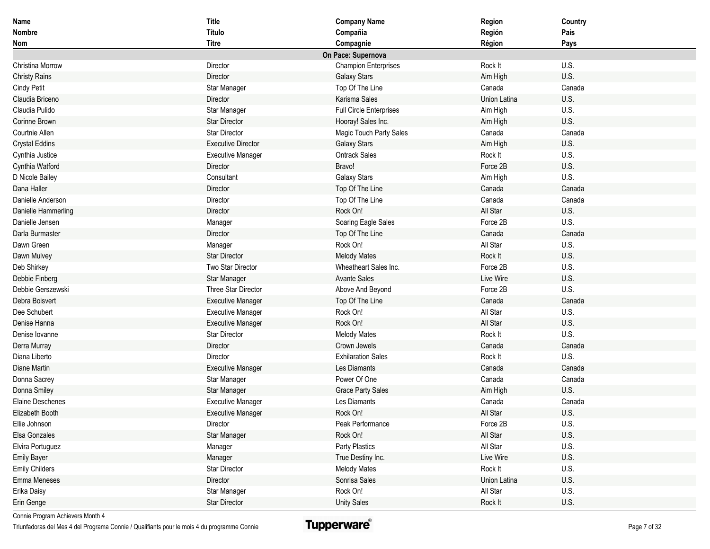| Name                    | <b>Title</b>              | <b>Company Name</b>            | Region       | Country |
|-------------------------|---------------------------|--------------------------------|--------------|---------|
| <b>Nombre</b>           | Título                    | Compañia                       | Región       | Pais    |
| Nom                     | <b>Titre</b>              | Compagnie                      | Région       | Pays    |
|                         |                           | On Pace: Supernova             |              |         |
| Christina Morrow        | Director                  | <b>Champion Enterprises</b>    | Rock It      | U.S.    |
| <b>Christy Rains</b>    | Director                  | Galaxy Stars                   | Aim High     | U.S.    |
| <b>Cindy Petit</b>      | Star Manager              | Top Of The Line                | Canada       | Canada  |
| Claudia Briceno         | Director                  | Karisma Sales                  | Union Latina | U.S.    |
| Claudia Pulido          | Star Manager              | <b>Full Circle Enterprises</b> | Aim High     | U.S.    |
| Corinne Brown           | <b>Star Director</b>      | Hooray! Sales Inc.             | Aim High     | U.S.    |
| Courtnie Allen          | <b>Star Director</b>      | Magic Touch Party Sales        | Canada       | Canada  |
| <b>Crystal Eddins</b>   | <b>Executive Director</b> | Galaxy Stars                   | Aim High     | U.S.    |
| Cynthia Justice         | <b>Executive Manager</b>  | <b>Ontrack Sales</b>           | Rock It      | U.S.    |
| Cynthia Watford         | Director                  | Bravo!                         | Force 2B     | U.S.    |
| D Nicole Bailey         | Consultant                | <b>Galaxy Stars</b>            | Aim High     | U.S.    |
| Dana Haller             | Director                  | Top Of The Line                | Canada       | Canada  |
| Danielle Anderson       | Director                  | Top Of The Line                | Canada       | Canada  |
| Danielle Hammerling     | Director                  | Rock On!                       | All Star     | U.S.    |
| Danielle Jensen         | Manager                   | Soaring Eagle Sales            | Force 2B     | U.S.    |
| Darla Burmaster         | Director                  | Top Of The Line                | Canada       | Canada  |
| Dawn Green              | Manager                   | Rock On!                       | All Star     | U.S.    |
| Dawn Mulvey             | <b>Star Director</b>      | <b>Melody Mates</b>            | Rock It      | U.S.    |
| Deb Shirkey             | Two Star Director         | Wheatheart Sales Inc.          | Force 2B     | U.S.    |
| Debbie Finberg          | Star Manager              | <b>Avante Sales</b>            | Live Wire    | U.S.    |
| Debbie Gerszewski       | Three Star Director       | Above And Beyond               | Force 2B     | U.S.    |
| Debra Boisvert          | <b>Executive Manager</b>  | Top Of The Line                | Canada       | Canada  |
| Dee Schubert            | <b>Executive Manager</b>  | Rock On!                       | All Star     | U.S.    |
| Denise Hanna            | <b>Executive Manager</b>  | Rock On!                       | All Star     | U.S.    |
| Denise Iovanne          | <b>Star Director</b>      | <b>Melody Mates</b>            | Rock It      | U.S.    |
| Derra Murray            | Director                  | Crown Jewels                   | Canada       | Canada  |
| Diana Liberto           | Director                  | <b>Exhilaration Sales</b>      | Rock It      | U.S.    |
| Diane Martin            | <b>Executive Manager</b>  | Les Diamants                   | Canada       | Canada  |
| Donna Sacrey            | Star Manager              | Power Of One                   | Canada       | Canada  |
| Donna Smiley            | Star Manager              | <b>Grace Party Sales</b>       | Aim High     | U.S.    |
| <b>Elaine Deschenes</b> | <b>Executive Manager</b>  | Les Diamants                   | Canada       | Canada  |
| Elizabeth Booth         | <b>Executive Manager</b>  | Rock On!                       | All Star     | U.S.    |
| Ellie Johnson           | Director                  | Peak Performance               | Force 2B     | U.S.    |
| Elsa Gonzales           | Star Manager              | Rock On!                       | All Star     | U.S.    |
| Elvira Portuguez        | Manager                   | Party Plastics                 | All Star     | U.S.    |
| <b>Emily Bayer</b>      | Manager                   | True Destiny Inc.              | Live Wire    | U.S.    |
| <b>Emily Childers</b>   | Star Director             | <b>Melody Mates</b>            | Rock It      | U.S.    |
| Emma Meneses            | Director                  | Sonrisa Sales                  | Union Latina | U.S.    |
| Erika Daisy             | Star Manager              | Rock On!                       | All Star     | U.S.    |
| Erin Genge              | Star Director             | <b>Unity Sales</b>             | Rock It      | U.S.    |

Triunfadoras del Mes 4 del Programa Connie / Qualifiants pour le mois 4 du programme Connie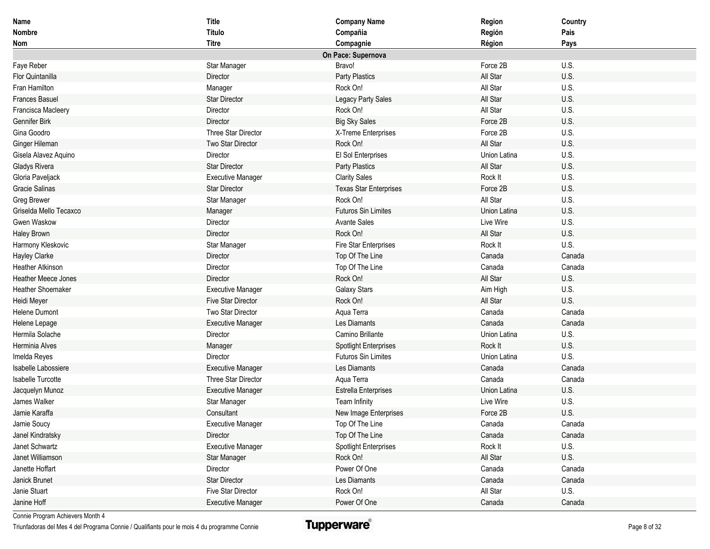| Name                       | <b>Title</b>              | <b>Company Name</b>           | Region       | Country |
|----------------------------|---------------------------|-------------------------------|--------------|---------|
| <b>Nombre</b>              | Título                    | Compañia                      | Región       | Pais    |
| Nom                        | <b>Titre</b>              | Compagnie                     | Région       | Pays    |
|                            |                           | On Pace: Supernova            |              |         |
| Faye Reber                 | Star Manager              | Bravo!                        | Force 2B     | U.S.    |
| <b>Flor Quintanilla</b>    | Director                  | Party Plastics                | All Star     | U.S.    |
| Fran Hamilton              | Manager                   | Rock On!                      | All Star     | U.S.    |
| <b>Frances Basuel</b>      | <b>Star Director</b>      | Legacy Party Sales            | All Star     | U.S.    |
| Francisca Macleery         | Director                  | Rock On!                      | All Star     | U.S.    |
| Gennifer Birk              | Director                  | <b>Big Sky Sales</b>          | Force 2B     | U.S.    |
| Gina Goodro                | Three Star Director       | X-Treme Enterprises           | Force 2B     | U.S.    |
| Ginger Hileman             | Two Star Director         | Rock On!                      | All Star     | U.S.    |
| Gisela Alavez Aquino       | Director                  | El Sol Enterprises            | Union Latina | U.S.    |
| <b>Gladys Rivera</b>       | <b>Star Director</b>      | Party Plastics                | All Star     | U.S.    |
| Gloria Paveljack           | <b>Executive Manager</b>  | <b>Clarity Sales</b>          | Rock It      | U.S.    |
| <b>Gracie Salinas</b>      | <b>Star Director</b>      | <b>Texas Star Enterprises</b> | Force 2B     | U.S.    |
| Greg Brewer                | Star Manager              | Rock On!                      | All Star     | U.S.    |
| Griselda Mello Tecaxco     | Manager                   | <b>Futuros Sin Limites</b>    | Union Latina | U.S.    |
| Gwen Waskow                | Director                  | <b>Avante Sales</b>           | Live Wire    | U.S.    |
| <b>Haley Brown</b>         | Director                  | Rock On!                      | All Star     | U.S.    |
| Harmony Kleskovic          | Star Manager              | Fire Star Enterprises         | Rock It      | U.S.    |
| <b>Hayley Clarke</b>       | Director                  | Top Of The Line               | Canada       | Canada  |
| <b>Heather Atkinson</b>    | Director                  | Top Of The Line               | Canada       | Canada  |
| <b>Heather Meece Jones</b> | Director                  | Rock On!                      | All Star     | U.S.    |
| <b>Heather Shoemaker</b>   | <b>Executive Manager</b>  | <b>Galaxy Stars</b>           | Aim High     | U.S.    |
| Heidi Meyer                | <b>Five Star Director</b> | Rock On!                      | All Star     | U.S.    |
| Helene Dumont              | Two Star Director         | Aqua Terra                    | Canada       | Canada  |
| Helene Lepage              | <b>Executive Manager</b>  | Les Diamants                  | Canada       | Canada  |
| Hermila Solache            | Director                  | Camino Brillante              | Union Latina | U.S.    |
| Herminia Alves             | Manager                   | <b>Spotlight Enterprises</b>  | Rock It      | U.S.    |
| Imelda Reyes               | Director                  | <b>Futuros Sin Limites</b>    | Union Latina | U.S.    |
| Isabelle Labossiere        | <b>Executive Manager</b>  | Les Diamants                  | Canada       | Canada  |
| Isabelle Turcotte          | Three Star Director       | Aqua Terra                    | Canada       | Canada  |
| Jacquelyn Munoz            | <b>Executive Manager</b>  | <b>Estrella Enterprises</b>   | Union Latina | U.S.    |
| James Walker               | Star Manager              | Team Infinity                 | Live Wire    | U.S.    |
| Jamie Karaffa              | Consultant                | New Image Enterprises         | Force 2B     | U.S.    |
| Jamie Soucy                | <b>Executive Manager</b>  | Top Of The Line               | Canada       | Canada  |
| Janel Kindratsky           | Director                  | Top Of The Line               | Canada       | Canada  |
| Janet Schwartz             | <b>Executive Manager</b>  | <b>Spotlight Enterprises</b>  | Rock It      | U.S.    |
| Janet Williamson           | Star Manager              | Rock On!                      | All Star     | U.S.    |
| Janette Hoffart            | Director                  | Power Of One                  | Canada       | Canada  |
| Janick Brunet              | Star Director             | Les Diamants                  | Canada       | Canada  |
| Janie Stuart               | Five Star Director        | Rock On!                      | All Star     | U.S.    |
| Janine Hoff                | <b>Executive Manager</b>  | Power Of One                  | Canada       | Canada  |

Triunfadoras del Mes 4 del Programa Connie / Qualifiants pour le mois 4 du programme Connie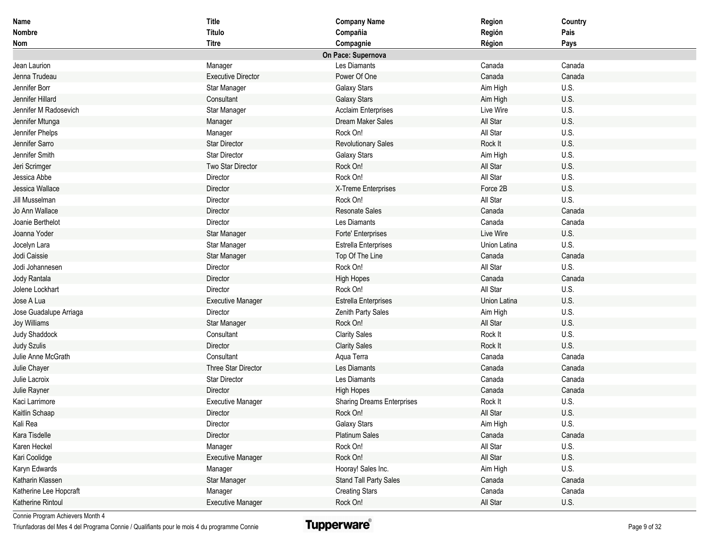| Name                   | <b>Title</b>              | <b>Company Name</b>               | Region       | Country |
|------------------------|---------------------------|-----------------------------------|--------------|---------|
| Nombre                 | Título                    | Compañia                          | Región       | Pais    |
| Nom                    | <b>Titre</b>              | Compagnie                         | Région       | Pays    |
|                        |                           | On Pace: Supernova                |              |         |
| Jean Laurion           | Manager                   | Les Diamants                      | Canada       | Canada  |
| Jenna Trudeau          | <b>Executive Director</b> | Power Of One                      | Canada       | Canada  |
| Jennifer Borr          | Star Manager              | Galaxy Stars                      | Aim High     | U.S.    |
| Jennifer Hillard       | Consultant                | <b>Galaxy Stars</b>               | Aim High     | U.S.    |
| Jennifer M Radosevich  | Star Manager              | <b>Acclaim Enterprises</b>        | Live Wire    | U.S.    |
| Jennifer Mtunga        | Manager                   | Dream Maker Sales                 | All Star     | U.S.    |
| Jennifer Phelps        | Manager                   | Rock On!                          | All Star     | U.S.    |
| Jennifer Sarro         | <b>Star Director</b>      | <b>Revolutionary Sales</b>        | Rock It      | U.S.    |
| Jennifer Smith         | <b>Star Director</b>      | <b>Galaxy Stars</b>               | Aim High     | U.S.    |
| Jeri Scrimger          | Two Star Director         | Rock On!                          | All Star     | U.S.    |
| Jessica Abbe           | Director                  | Rock On!                          | All Star     | U.S.    |
| Jessica Wallace        | Director                  | X-Treme Enterprises               | Force 2B     | U.S.    |
| Jill Musselman         | Director                  | Rock On!                          | All Star     | U.S.    |
| Jo Ann Wallace         | Director                  | <b>Resonate Sales</b>             | Canada       | Canada  |
| Joanie Berthelot       | Director                  | Les Diamants                      | Canada       | Canada  |
| Joanna Yoder           | Star Manager              | Forte' Enterprises                | Live Wire    | U.S.    |
| Jocelyn Lara           | Star Manager              | <b>Estrella Enterprises</b>       | Union Latina | U.S.    |
| Jodi Caissie           | Star Manager              | Top Of The Line                   | Canada       | Canada  |
| Jodi Johannesen        | Director                  | Rock On!                          | All Star     | U.S.    |
| Jody Rantala           | Director                  | <b>High Hopes</b>                 | Canada       | Canada  |
| Jolene Lockhart        | Director                  | Rock On!                          | All Star     | U.S.    |
| Jose A Lua             | <b>Executive Manager</b>  | Estrella Enterprises              | Union Latina | U.S.    |
| Jose Guadalupe Arriaga | Director                  | Zenith Party Sales                | Aim High     | U.S.    |
| <b>Joy Williams</b>    | Star Manager              | Rock On!                          | All Star     | U.S.    |
| Judy Shaddock          | Consultant                | <b>Clarity Sales</b>              | Rock It      | U.S.    |
| <b>Judy Szulis</b>     | Director                  | <b>Clarity Sales</b>              | Rock It      | U.S.    |
| Julie Anne McGrath     | Consultant                | Aqua Terra                        | Canada       | Canada  |
| Julie Chayer           | Three Star Director       | Les Diamants                      | Canada       | Canada  |
| Julie Lacroix          | <b>Star Director</b>      | Les Diamants                      | Canada       | Canada  |
| Julie Rayner           | Director                  | High Hopes                        | Canada       | Canada  |
| Kaci Larrimore         | <b>Executive Manager</b>  | <b>Sharing Dreams Enterprises</b> | Rock It      | U.S.    |
| Kaitlin Schaap         | Director                  | Rock On!                          | All Star     | U.S.    |
| Kali Rea               | Director                  | Galaxy Stars                      | Aim High     | U.S.    |
| Kara Tisdelle          | Director                  | Platinum Sales                    | Canada       | Canada  |
| Karen Heckel           | Manager                   | Rock On!                          | All Star     | U.S.    |
| Kari Coolidge          | <b>Executive Manager</b>  | Rock On!                          | All Star     | U.S.    |
| Karyn Edwards          | Manager                   | Hooray! Sales Inc.                | Aim High     | U.S.    |
| Katharin Klassen       | Star Manager              | Stand Tall Party Sales            | Canada       | Canada  |
| Katherine Lee Hopcraft | Manager                   | <b>Creating Stars</b>             | Canada       | Canada  |
| Katherine Rintoul      | <b>Executive Manager</b>  | Rock On!                          | All Star     | U.S.    |

Triunfadoras del Mes 4 del Programa Connie / Qualifiants pour le mois 4 du programme Connie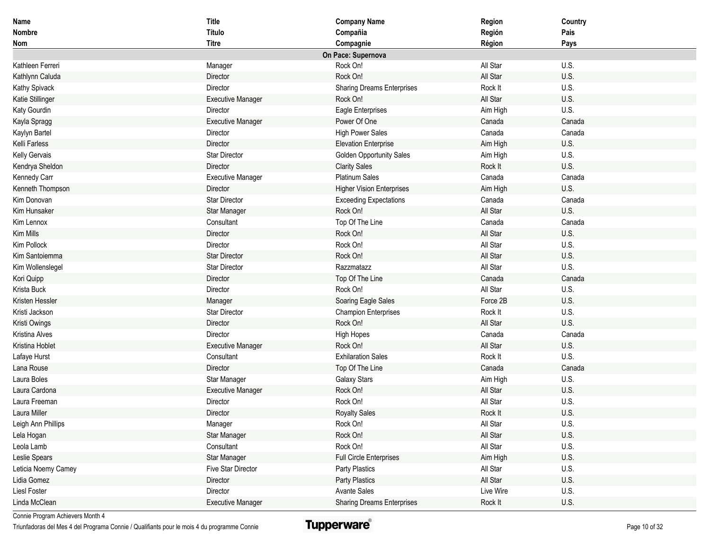| Name                | <b>Title</b>             | <b>Company Name</b>               | Region    | Country |
|---------------------|--------------------------|-----------------------------------|-----------|---------|
| Nombre              | Título                   | Compañia                          | Región    | Pais    |
| Nom                 | <b>Titre</b>             | Compagnie                         | Région    | Pays    |
|                     |                          | On Pace: Supernova                |           |         |
| Kathleen Ferreri    | Manager                  | Rock On!                          | All Star  | U.S.    |
| Kathlynn Caluda     | Director                 | Rock On!                          | All Star  | U.S.    |
| Kathy Spivack       | Director                 | <b>Sharing Dreams Enterprises</b> | Rock It   | U.S.    |
| Katie Stillinger    | <b>Executive Manager</b> | Rock On!                          | All Star  | U.S.    |
| Katy Gourdin        | Director                 | Eagle Enterprises                 | Aim High  | U.S.    |
| Kayla Spragg        | <b>Executive Manager</b> | Power Of One                      | Canada    | Canada  |
| Kaylyn Bartel       | Director                 | <b>High Power Sales</b>           | Canada    | Canada  |
| Kelli Farless       | Director                 | <b>Elevation Enterprise</b>       | Aim High  | U.S.    |
| Kelly Gervais       | <b>Star Director</b>     | <b>Golden Opportunity Sales</b>   | Aim High  | U.S.    |
| Kendrya Sheldon     | Director                 | <b>Clarity Sales</b>              | Rock It   | U.S.    |
| Kennedy Carr        | <b>Executive Manager</b> | <b>Platinum Sales</b>             | Canada    | Canada  |
| Kenneth Thompson    | Director                 | <b>Higher Vision Enterprises</b>  | Aim High  | U.S.    |
| Kim Donovan         | <b>Star Director</b>     | <b>Exceeding Expectations</b>     | Canada    | Canada  |
| Kim Hunsaker        | Star Manager             | Rock On!                          | All Star  | U.S.    |
| Kim Lennox          | Consultant               | Top Of The Line                   | Canada    | Canada  |
| Kim Mills           | Director                 | Rock On!                          | All Star  | U.S.    |
| Kim Pollock         | Director                 | Rock On!                          | All Star  | U.S.    |
| Kim Santoiemma      | <b>Star Director</b>     | Rock On!                          | All Star  | U.S.    |
| Kim Wollenslegel    | <b>Star Director</b>     | Razzmatazz                        | All Star  | U.S.    |
| Kori Quipp          | Director                 | Top Of The Line                   | Canada    | Canada  |
| Krista Buck         | Director                 | Rock On!                          | All Star  | U.S.    |
| Kristen Hessler     | Manager                  | Soaring Eagle Sales               | Force 2B  | U.S.    |
| Kristi Jackson      | Star Director            | <b>Champion Enterprises</b>       | Rock It   | U.S.    |
| Kristi Owings       | Director                 | Rock On!                          | All Star  | U.S.    |
| Kristina Alves      | Director                 | <b>High Hopes</b>                 | Canada    | Canada  |
| Kristina Hoblet     | <b>Executive Manager</b> | Rock On!                          | All Star  | U.S.    |
| Lafaye Hurst        | Consultant               | <b>Exhilaration Sales</b>         | Rock It   | U.S.    |
| Lana Rouse          | Director                 | Top Of The Line                   | Canada    | Canada  |
| Laura Boles         | Star Manager             | <b>Galaxy Stars</b>               | Aim High  | U.S.    |
| Laura Cardona       | <b>Executive Manager</b> | Rock On!                          | All Star  | U.S.    |
| Laura Freeman       | Director                 | Rock On!                          | All Star  | U.S.    |
| Laura Miller        | Director                 | <b>Royalty Sales</b>              | Rock It   | U.S.    |
| Leigh Ann Phillips  | Manager                  | Rock On!                          | All Star  | U.S.    |
| Lela Hogan          | Star Manager             | Rock On!                          | All Star  | U.S.    |
| Leola Lamb          | Consultant               | Rock On!                          | All Star  | U.S.    |
| Leslie Spears       | Star Manager             | <b>Full Circle Enterprises</b>    | Aim High  | U.S.    |
| Leticia Noemy Camey | Five Star Director       | Party Plastics                    | All Star  | U.S.    |
| Lidia Gomez         | Director                 | Party Plastics                    | All Star  | U.S.    |
| Liesl Foster        | Director                 | <b>Avante Sales</b>               | Live Wire | U.S.    |
| Linda McClean       | <b>Executive Manager</b> | <b>Sharing Dreams Enterprises</b> | Rock It   | U.S.    |

Triunfadoras del Mes 4 del Programa Connie / Qualifiants pour le mois 4 du programme Connie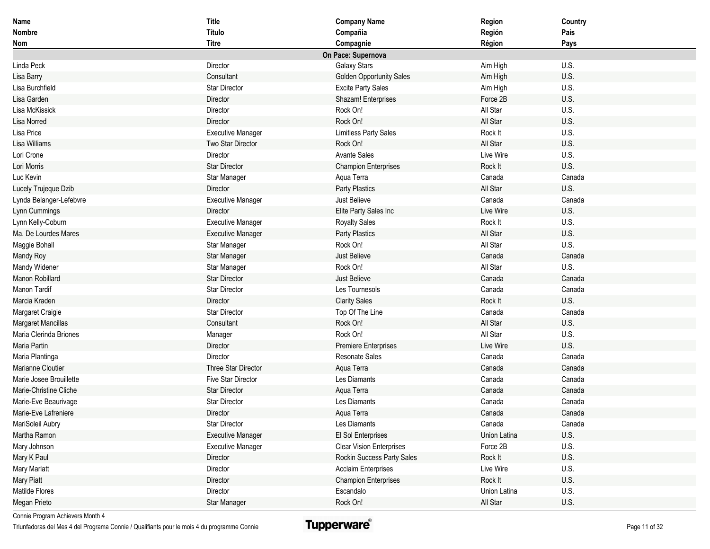| <b>Name</b>             | Title                     | <b>Company Name</b>             | Region       | Country |
|-------------------------|---------------------------|---------------------------------|--------------|---------|
| <b>Nombre</b>           | Título                    | Compañia                        | Región       | Pais    |
| <b>Nom</b>              | <b>Titre</b>              | Compagnie                       | Région       | Pays    |
|                         |                           | On Pace: Supernova              |              |         |
| Linda Peck              | Director                  | Galaxy Stars                    | Aim High     | U.S.    |
| Lisa Barry              | Consultant                | <b>Golden Opportunity Sales</b> | Aim High     | U.S.    |
| Lisa Burchfield         | <b>Star Director</b>      | <b>Excite Party Sales</b>       | Aim High     | U.S.    |
| Lisa Garden             | Director                  | Shazam! Enterprises             | Force 2B     | U.S.    |
| Lisa McKissick          | Director                  | Rock On!                        | All Star     | U.S.    |
| Lisa Norred             | Director                  | Rock On!                        | All Star     | U.S.    |
| Lisa Price              | <b>Executive Manager</b>  | <b>Limitless Party Sales</b>    | Rock It      | U.S.    |
| Lisa Williams           | Two Star Director         | Rock On!                        | All Star     | U.S.    |
| Lori Crone              | Director                  | <b>Avante Sales</b>             | Live Wire    | U.S.    |
| Lori Morris             | <b>Star Director</b>      | <b>Champion Enterprises</b>     | Rock It      | U.S.    |
| Luc Kevin               | Star Manager              | Aqua Terra                      | Canada       | Canada  |
| Lucely Trujeque Dzib    | Director                  | Party Plastics                  | All Star     | U.S.    |
| Lynda Belanger-Lefebvre | <b>Executive Manager</b>  | Just Believe                    | Canada       | Canada  |
| Lynn Cummings           | Director                  | Elite Party Sales Inc           | Live Wire    | U.S.    |
| Lynn Kelly-Coburn       | <b>Executive Manager</b>  | <b>Royalty Sales</b>            | Rock It      | U.S.    |
| Ma. De Lourdes Mares    | <b>Executive Manager</b>  | <b>Party Plastics</b>           | All Star     | U.S.    |
| Maggie Bohall           | Star Manager              | Rock On!                        | All Star     | U.S.    |
| Mandy Roy               | Star Manager              | Just Believe                    | Canada       | Canada  |
| Mandy Widener           | Star Manager              | Rock On!                        | All Star     | U.S.    |
| Manon Robillard         | <b>Star Director</b>      | Just Believe                    | Canada       | Canada  |
| Manon Tardif            | <b>Star Director</b>      | Les Tournesols                  | Canada       | Canada  |
| Marcia Kraden           | Director                  | <b>Clarity Sales</b>            | Rock It      | U.S.    |
| Margaret Craigie        | Star Director             | Top Of The Line                 | Canada       | Canada  |
| Margaret Mancillas      | Consultant                | Rock On!                        | All Star     | U.S.    |
| Maria Clerinda Briones  | Manager                   | Rock On!                        | All Star     | U.S.    |
| Maria Partin            | Director                  | <b>Premiere Enterprises</b>     | Live Wire    | U.S.    |
| Maria Plantinga         | Director                  | <b>Resonate Sales</b>           | Canada       | Canada  |
| Marianne Cloutier       | Three Star Director       | Aqua Terra                      | Canada       | Canada  |
| Marie Josee Brouillette | <b>Five Star Director</b> | Les Diamants                    | Canada       | Canada  |
| Marie-Christine Cliche  | <b>Star Director</b>      | Aqua Terra                      | Canada       | Canada  |
| Marie-Eve Beaurivage    | <b>Star Director</b>      | Les Diamants                    | Canada       | Canada  |
| Marie-Eve Lafreniere    | Director                  | Aqua Terra                      | Canada       | Canada  |
| MariSoleil Aubry        | Star Director             | Les Diamants                    | Canada       | Canada  |
| Martha Ramon            | <b>Executive Manager</b>  | El Sol Enterprises              | Union Latina | U.S.    |
| Mary Johnson            | <b>Executive Manager</b>  | <b>Clear Vision Enterprises</b> | Force 2B     | U.S.    |
| Mary K Paul             | Director                  | Rockin Success Party Sales      | Rock It      | U.S.    |
| Mary Marlatt            | Director                  | <b>Acclaim Enterprises</b>      | Live Wire    | U.S.    |
| <b>Mary Piatt</b>       | Director                  | <b>Champion Enterprises</b>     | Rock It      | U.S.    |
| Matilde Flores          | Director                  | Escandalo                       | Union Latina | U.S.    |
| Megan Prieto            | Star Manager              | Rock On!                        | All Star     | U.S.    |

Triunfadoras del Mes 4 del Programa Connie / Qualifiants pour le mois 4 du programme Connie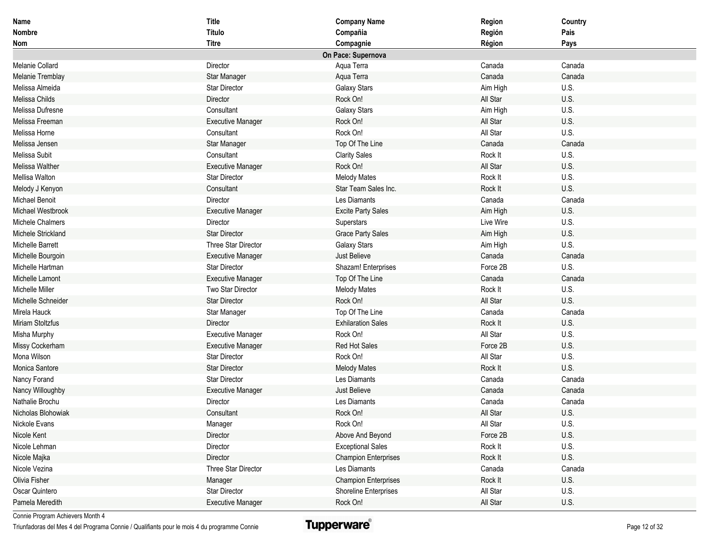| Name               | <b>Title</b>             | <b>Company Name</b>         | Region    | Country |
|--------------------|--------------------------|-----------------------------|-----------|---------|
| Nombre             | Título                   | Compañia                    | Región    | Pais    |
| Nom                | <b>Titre</b>             | Compagnie                   | Région    | Pays    |
|                    |                          | On Pace: Supernova          |           |         |
| Melanie Collard    | Director                 | Aqua Terra                  | Canada    | Canada  |
| Melanie Tremblay   | Star Manager             | Aqua Terra                  | Canada    | Canada  |
| Melissa Almeida    | <b>Star Director</b>     | <b>Galaxy Stars</b>         | Aim High  | U.S.    |
| Melissa Childs     | Director                 | Rock On!                    | All Star  | U.S.    |
| Melissa Dufresne   | Consultant               | <b>Galaxy Stars</b>         | Aim High  | U.S.    |
| Melissa Freeman    | <b>Executive Manager</b> | Rock On!                    | All Star  | U.S.    |
| Melissa Horne      | Consultant               | Rock On!                    | All Star  | U.S.    |
| Melissa Jensen     | Star Manager             | Top Of The Line             | Canada    | Canada  |
| Melissa Subit      | Consultant               | <b>Clarity Sales</b>        | Rock It   | U.S.    |
| Melissa Walther    | <b>Executive Manager</b> | Rock On!                    | All Star  | U.S.    |
| Mellisa Walton     | <b>Star Director</b>     | <b>Melody Mates</b>         | Rock It   | U.S.    |
| Melody J Kenyon    | Consultant               | Star Team Sales Inc.        | Rock It   | U.S.    |
| Michael Benoit     | Director                 | Les Diamants                | Canada    | Canada  |
| Michael Westbrook  | <b>Executive Manager</b> | <b>Excite Party Sales</b>   | Aim High  | U.S.    |
| Michele Chalmers   | Director                 | Superstars                  | Live Wire | U.S.    |
| Michele Strickland | <b>Star Director</b>     | <b>Grace Party Sales</b>    | Aim High  | U.S.    |
| Michelle Barrett   | Three Star Director      | <b>Galaxy Stars</b>         | Aim High  | U.S.    |
| Michelle Bourgoin  | <b>Executive Manager</b> | Just Believe                | Canada    | Canada  |
| Michelle Hartman   | <b>Star Director</b>     | Shazam! Enterprises         | Force 2B  | U.S.    |
| Michelle Lamont    | <b>Executive Manager</b> | Top Of The Line             | Canada    | Canada  |
| Michelle Miller    | Two Star Director        | <b>Melody Mates</b>         | Rock It   | U.S.    |
| Michelle Schneider | <b>Star Director</b>     | Rock On!                    | All Star  | U.S.    |
| Mirela Hauck       | Star Manager             | Top Of The Line             | Canada    | Canada  |
| Miriam Stoltzfus   | Director                 | <b>Exhilaration Sales</b>   | Rock It   | U.S.    |
| Misha Murphy       | <b>Executive Manager</b> | Rock On!                    | All Star  | U.S.    |
| Missy Cockerham    | <b>Executive Manager</b> | <b>Red Hot Sales</b>        | Force 2B  | U.S.    |
| Mona Wilson        | <b>Star Director</b>     | Rock On!                    | All Star  | U.S.    |
| Monica Santore     | <b>Star Director</b>     | <b>Melody Mates</b>         | Rock It   | U.S.    |
| Nancy Forand       | <b>Star Director</b>     | Les Diamants                | Canada    | Canada  |
| Nancy Willoughby   | <b>Executive Manager</b> | Just Believe                | Canada    | Canada  |
| Nathalie Brochu    | Director                 | Les Diamants                | Canada    | Canada  |
| Nicholas Blohowiak | Consultant               | Rock On!                    | All Star  | U.S.    |
| Nickole Evans      | Manager                  | Rock On!                    | All Star  | U.S.    |
| Nicole Kent        | Director                 | Above And Beyond            | Force 2B  | U.S.    |
| Nicole Lehman      | Director                 | <b>Exceptional Sales</b>    | Rock It   | U.S.    |
| Nicole Majka       | Director                 | <b>Champion Enterprises</b> | Rock It   | U.S.    |
| Nicole Vezina      | Three Star Director      | Les Diamants                | Canada    | Canada  |
| Olivia Fisher      | Manager                  | <b>Champion Enterprises</b> | Rock It   | U.S.    |
| Oscar Quintero     | <b>Star Director</b>     | Shoreline Enterprises       | All Star  | U.S.    |
| Pamela Meredith    | <b>Executive Manager</b> | Rock On!                    | All Star  | U.S.    |

Triunfadoras del Mes 4 del Programa Connie / Qualifiants pour le mois 4 du programme Connie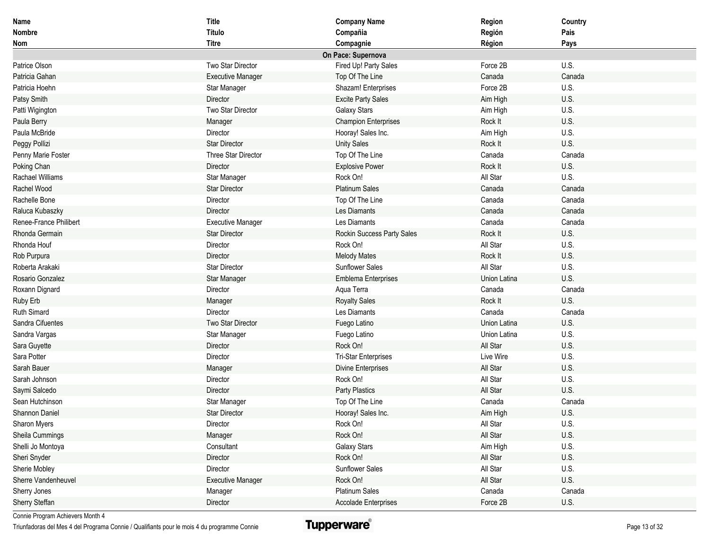| Name                   | <b>Title</b>             | <b>Company Name</b>         | Region       | Country |
|------------------------|--------------------------|-----------------------------|--------------|---------|
| Nombre                 | Título                   | Compañia                    | Región       | Pais    |
| Nom                    | <b>Titre</b>             | Compagnie                   | Région       | Pays    |
|                        |                          | On Pace: Supernova          |              |         |
| Patrice Olson          | Two Star Director        | Fired Up! Party Sales       | Force 2B     | U.S.    |
| Patricia Gahan         | <b>Executive Manager</b> | Top Of The Line             | Canada       | Canada  |
| Patricia Hoehn         | Star Manager             | Shazam! Enterprises         | Force 2B     | U.S.    |
| Patsy Smith            | Director                 | <b>Excite Party Sales</b>   | Aim High     | U.S.    |
| Patti Wigington        | Two Star Director        | <b>Galaxy Stars</b>         | Aim High     | U.S.    |
| Paula Berry            | Manager                  | <b>Champion Enterprises</b> | Rock It      | U.S.    |
| Paula McBride          | Director                 | Hooray! Sales Inc.          | Aim High     | U.S.    |
| Peggy Pollizi          | <b>Star Director</b>     | <b>Unity Sales</b>          | Rock It      | U.S.    |
| Penny Marie Foster     | Three Star Director      | Top Of The Line             | Canada       | Canada  |
| Poking Chan            | Director                 | <b>Explosive Power</b>      | Rock It      | U.S.    |
| Rachael Williams       | Star Manager             | Rock On!                    | All Star     | U.S.    |
| Rachel Wood            | <b>Star Director</b>     | <b>Platinum Sales</b>       | Canada       | Canada  |
| Rachelle Bone          | Director                 | Top Of The Line             | Canada       | Canada  |
| Raluca Kubaszky        | Director                 | Les Diamants                | Canada       | Canada  |
| Renee-France Philibert | <b>Executive Manager</b> | Les Diamants                | Canada       | Canada  |
| Rhonda Germain         | <b>Star Director</b>     | Rockin Success Party Sales  | Rock It      | U.S.    |
| Rhonda Houf            | Director                 | Rock On!                    | All Star     | U.S.    |
| Rob Purpura            | Director                 | <b>Melody Mates</b>         | Rock It      | U.S.    |
| Roberta Arakaki        | <b>Star Director</b>     | <b>Sunflower Sales</b>      | All Star     | U.S.    |
| Rosario Gonzalez       | Star Manager             | <b>Emblema Enterprises</b>  | Union Latina | U.S.    |
| Roxann Dignard         | Director                 | Aqua Terra                  | Canada       | Canada  |
| Ruby Erb               | Manager                  | <b>Royalty Sales</b>        | Rock It      | U.S.    |
| Ruth Simard            | Director                 | Les Diamants                | Canada       | Canada  |
| Sandra Cifuentes       | Two Star Director        | Fuego Latino                | Union Latina | U.S.    |
| Sandra Vargas          | Star Manager             | Fuego Latino                | Union Latina | U.S.    |
| Sara Guyette           | Director                 | Rock On!                    | All Star     | U.S.    |
| Sara Potter            | Director                 | <b>Tri-Star Enterprises</b> | Live Wire    | U.S.    |
| Sarah Bauer            | Manager                  | Divine Enterprises          | All Star     | U.S.    |
| Sarah Johnson          | Director                 | Rock On!                    | All Star     | U.S.    |
| Saymi Salcedo          | Director                 | <b>Party Plastics</b>       | All Star     | U.S.    |
| Sean Hutchinson        | Star Manager             | Top Of The Line             | Canada       | Canada  |
| Shannon Daniel         | <b>Star Director</b>     | Hooray! Sales Inc.          | Aim High     | U.S.    |
| Sharon Myers           | Director                 | Rock On!                    | All Star     | U.S.    |
| Sheila Cummings        | Manager                  | Rock On!                    | All Star     | U.S.    |
| Shelli Jo Montoya      | Consultant               | Galaxy Stars                | Aim High     | U.S.    |
| Sheri Snyder           | Director                 | Rock On!                    | All Star     | U.S.    |
| Sherie Mobley          | Director                 | Sunflower Sales             | All Star     | U.S.    |
| Sherre Vandenheuvel    | <b>Executive Manager</b> | Rock On!                    | All Star     | U.S.    |
| Sherry Jones           | Manager                  | <b>Platinum Sales</b>       | Canada       | Canada  |
| Sherry Steffan         | Director                 | Accolade Enterprises        | Force 2B     | U.S.    |

Triunfadoras del Mes 4 del Programa Connie / Qualifiants pour le mois 4 du programme Connie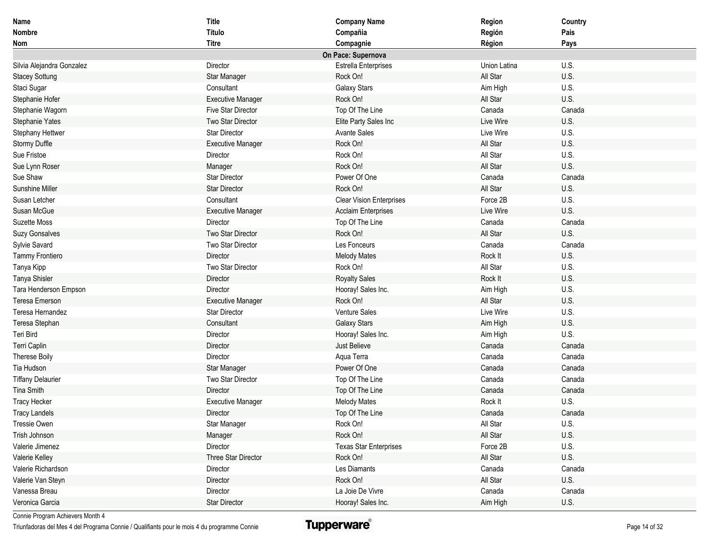| Name                      | <b>Title</b>             | <b>Company Name</b>             | Region       | Country |
|---------------------------|--------------------------|---------------------------------|--------------|---------|
| <b>Nombre</b>             | Título                   | Compañia                        | Región       | Pais    |
| Nom                       | <b>Titre</b>             | Compagnie                       | Région       | Pays    |
|                           |                          | On Pace: Supernova              |              |         |
| Silvia Alejandra Gonzalez | Director                 | <b>Estrella Enterprises</b>     | Union Latina | U.S.    |
| <b>Stacey Sottung</b>     | Star Manager             | Rock On!                        | All Star     | U.S.    |
| Staci Sugar               | Consultant               | <b>Galaxy Stars</b>             | Aim High     | U.S.    |
| Stephanie Hofer           | <b>Executive Manager</b> | Rock On!                        | All Star     | U.S.    |
| Stephanie Wagorn          | Five Star Director       | Top Of The Line                 | Canada       | Canada  |
| Stephanie Yates           | Two Star Director        | Elite Party Sales Inc           | Live Wire    | U.S.    |
| Stephany Hettwer          | <b>Star Director</b>     | <b>Avante Sales</b>             | Live Wire    | U.S.    |
| <b>Stormy Duffle</b>      | <b>Executive Manager</b> | Rock On!                        | All Star     | U.S.    |
| Sue Fristoe               | Director                 | Rock On!                        | All Star     | U.S.    |
| Sue Lynn Roser            | Manager                  | Rock On!                        | All Star     | U.S.    |
| Sue Shaw                  | Star Director            | Power Of One                    | Canada       | Canada  |
| <b>Sunshine Miller</b>    | <b>Star Director</b>     | Rock On!                        | All Star     | U.S.    |
| Susan Letcher             | Consultant               | <b>Clear Vision Enterprises</b> | Force 2B     | U.S.    |
| Susan McGue               | <b>Executive Manager</b> | <b>Acclaim Enterprises</b>      | Live Wire    | U.S.    |
| Suzette Moss              | Director                 | Top Of The Line                 | Canada       | Canada  |
| <b>Suzy Gonsalves</b>     | Two Star Director        | Rock On!                        | All Star     | U.S.    |
| Sylvie Savard             | Two Star Director        | Les Fonceurs                    | Canada       | Canada  |
| Tammy Frontiero           | Director                 | <b>Melody Mates</b>             | Rock It      | U.S.    |
| Tanya Kipp                | Two Star Director        | Rock On!                        | All Star     | U.S.    |
| Tanya Shisler             | Director                 | <b>Royalty Sales</b>            | Rock It      | U.S.    |
| Tara Henderson Empson     | Director                 | Hooray! Sales Inc.              | Aim High     | U.S.    |
| Teresa Emerson            | <b>Executive Manager</b> | Rock On!                        | All Star     | U.S.    |
| Teresa Hernandez          | Star Director            | Venture Sales                   | Live Wire    | U.S.    |
| Teresa Stephan            | Consultant               | <b>Galaxy Stars</b>             | Aim High     | U.S.    |
| Teri Bird                 | Director                 | Hooray! Sales Inc.              | Aim High     | U.S.    |
| Terri Caplin              | Director                 | Just Believe                    | Canada       | Canada  |
| Therese Boily             | Director                 | Aqua Terra                      | Canada       | Canada  |
| Tia Hudson                | Star Manager             | Power Of One                    | Canada       | Canada  |
| <b>Tiffany Delaurier</b>  | Two Star Director        | Top Of The Line                 | Canada       | Canada  |
| <b>Tina Smith</b>         | Director                 | Top Of The Line                 | Canada       | Canada  |
| Tracy Hecker              | <b>Executive Manager</b> | <b>Melody Mates</b>             | Rock It      | U.S.    |
| <b>Tracy Landels</b>      | Director                 | Top Of The Line                 | Canada       | Canada  |
| Tressie Owen              | Star Manager             | Rock On!                        | All Star     | U.S.    |
| Trish Johnson             | Manager                  | Rock On!                        | All Star     | U.S.    |
| Valerie Jimenez           | Director                 | <b>Texas Star Enterprises</b>   | Force 2B     | U.S.    |
| Valerie Kelley            | Three Star Director      | Rock On!                        | All Star     | U.S.    |
| Valerie Richardson        | Director                 | Les Diamants                    | Canada       | Canada  |
| Valerie Van Steyn         | Director                 | Rock On!                        | All Star     | U.S.    |
| Vanessa Breau             | Director                 | La Joie De Vivre                | Canada       | Canada  |
| Veronica Garcia           | <b>Star Director</b>     | Hooray! Sales Inc.              | Aim High     | U.S.    |

Triunfadoras del Mes 4 del Programa Connie / Qualifiants pour le mois 4 du programme Connie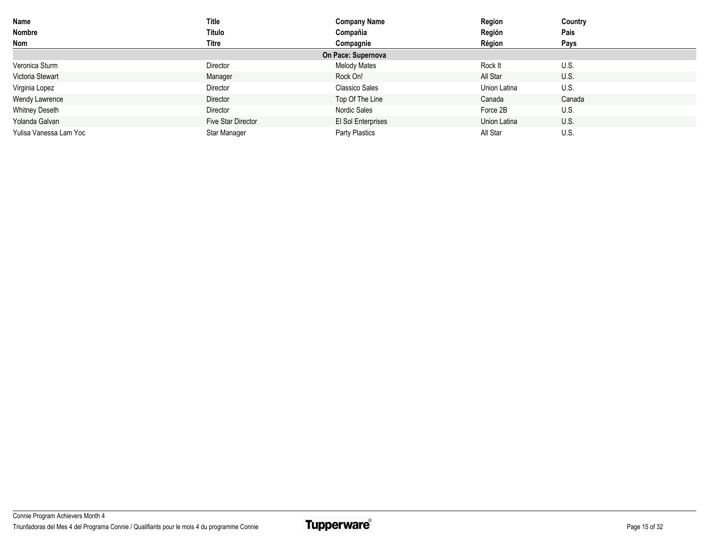| Name                   | Title              | <b>Company Name</b>   | Region       | Country |
|------------------------|--------------------|-----------------------|--------------|---------|
| Nombre                 | Título             | Compañia              | Región       | Pais    |
| <b>Nom</b>             | Titre              | Compagnie             | Région       | Pays    |
|                        |                    | On Pace: Supernova    |              |         |
| Veronica Sturm         | Director           | <b>Melody Mates</b>   | Rock It      | U.S.    |
| Victoria Stewart       | Manager            | Rock On!              | All Star     | U.S.    |
| Virginia Lopez         | Director           | <b>Classico Sales</b> | Union Latina | U.S.    |
| <b>Wendy Lawrence</b>  | Director           | Top Of The Line       | Canada       | Canada  |
| <b>Whitney Deseth</b>  | Director           | Nordic Sales          | Force 2B     | U.S.    |
| Yolanda Galvan         | Five Star Director | El Sol Enterprises    | Union Latina | U.S.    |
| Yulisa Vanessa Lam Yoc | Star Manager       | Party Plastics        | All Star     | U.S.    |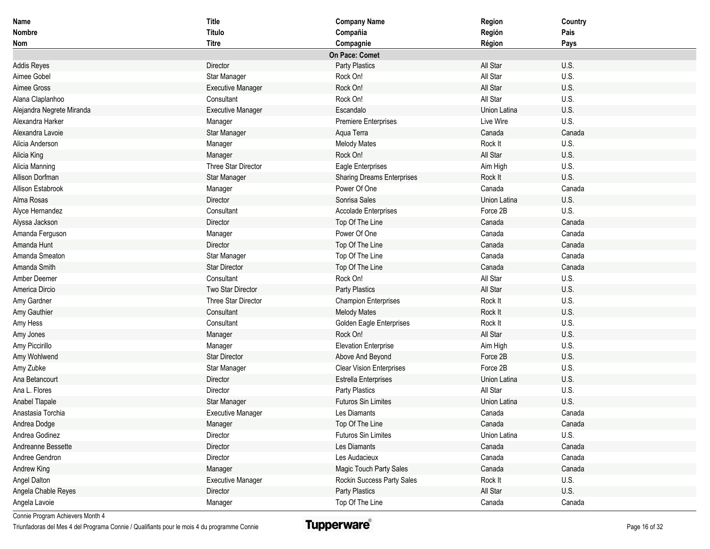| Name                      | <b>Title</b>             | <b>Company Name</b>               | Region       | Country |
|---------------------------|--------------------------|-----------------------------------|--------------|---------|
| <b>Nombre</b>             | Título                   | Compañia                          | Región       | Pais    |
| Nom                       | <b>Titre</b>             | Compagnie                         | Région       | Pays    |
|                           |                          | On Pace: Comet                    |              |         |
| <b>Addis Reyes</b>        | Director                 | Party Plastics                    | All Star     | U.S.    |
| Aimee Gobel               | Star Manager             | Rock On!                          | All Star     | U.S.    |
| Aimee Gross               | <b>Executive Manager</b> | Rock On!                          | All Star     | U.S.    |
| Alana Claplanhoo          | Consultant               | Rock On!                          | All Star     | U.S.    |
| Alejandra Negrete Miranda | <b>Executive Manager</b> | Escandalo                         | Union Latina | U.S.    |
| Alexandra Harker          | Manager                  | <b>Premiere Enterprises</b>       | Live Wire    | U.S.    |
| Alexandra Lavoie          | Star Manager             | Aqua Terra                        | Canada       | Canada  |
| Alicia Anderson           | Manager                  | <b>Melody Mates</b>               | Rock It      | U.S.    |
| Alicia King               | Manager                  | Rock On!                          | All Star     | U.S.    |
| Alicia Manning            | Three Star Director      | Eagle Enterprises                 | Aim High     | U.S.    |
| Allison Dorfman           | Star Manager             | <b>Sharing Dreams Enterprises</b> | Rock It      | U.S.    |
| Allison Estabrook         | Manager                  | Power Of One                      | Canada       | Canada  |
| Alma Rosas                | Director                 | Sonrisa Sales                     | Union Latina | U.S.    |
| Alyce Hernandez           | Consultant               | <b>Accolade Enterprises</b>       | Force 2B     | U.S.    |
| Alyssa Jackson            | Director                 | Top Of The Line                   | Canada       | Canada  |
| Amanda Ferguson           | Manager                  | Power Of One                      | Canada       | Canada  |
| Amanda Hunt               | Director                 | Top Of The Line                   | Canada       | Canada  |
| Amanda Smeaton            | Star Manager             | Top Of The Line                   | Canada       | Canada  |
| Amanda Smith              | <b>Star Director</b>     | Top Of The Line                   | Canada       | Canada  |
| Amber Deemer              | Consultant               | Rock On!                          | All Star     | U.S.    |
| America Dircio            | Two Star Director        | Party Plastics                    | All Star     | U.S.    |
| Amy Gardner               | Three Star Director      | <b>Champion Enterprises</b>       | Rock It      | U.S.    |
| Amy Gauthier              | Consultant               | <b>Melody Mates</b>               | Rock It      | U.S.    |
| Amy Hess                  | Consultant               | Golden Eagle Enterprises          | Rock It      | U.S.    |
| Amy Jones                 | Manager                  | Rock On!                          | All Star     | U.S.    |
| Amy Piccirillo            | Manager                  | <b>Elevation Enterprise</b>       | Aim High     | U.S.    |
| Amy Wohlwend              | <b>Star Director</b>     | Above And Beyond                  | Force 2B     | U.S.    |
| Amy Zubke                 | Star Manager             | <b>Clear Vision Enterprises</b>   | Force 2B     | U.S.    |
| Ana Betancourt            | Director                 | <b>Estrella Enterprises</b>       | Union Latina | U.S.    |
| Ana L. Flores             | Director                 | Party Plastics                    | All Star     | U.S.    |
| Anabel Tlapale            | Star Manager             | <b>Futuros Sin Limites</b>        | Union Latina | U.S.    |
| Anastasia Torchia         | <b>Executive Manager</b> | Les Diamants                      | Canada       | Canada  |
| Andrea Dodge              | Manager                  | Top Of The Line                   | Canada       | Canada  |
| Andrea Godinez            | Director                 | Futuros Sin Limites               | Union Latina | U.S.    |
| Andreanne Bessette        | Director                 | Les Diamants                      | Canada       | Canada  |
| Andree Gendron            | Director                 | Les Audacieux                     | Canada       | Canada  |
| Andrew King               | Manager                  | Magic Touch Party Sales           | Canada       | Canada  |
| Angel Dalton              | <b>Executive Manager</b> | Rockin Success Party Sales        | Rock It      | U.S.    |
| Angela Chable Reyes       | Director                 | Party Plastics                    | All Star     | U.S.    |
| Angela Lavoie             | Manager                  | Top Of The Line                   | Canada       | Canada  |

Triunfadoras del Mes 4 del Programa Connie / Qualifiants pour le mois 4 du programme Connie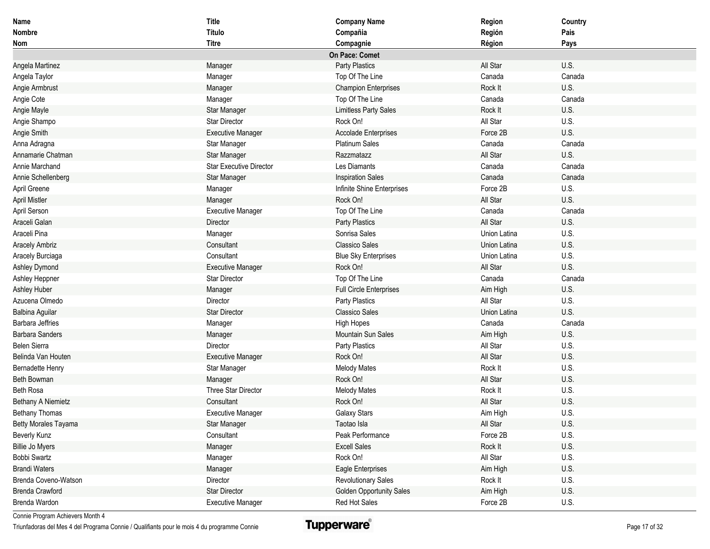| Name                      | <b>Title</b>             | <b>Company Name</b>             | Region       | Country |
|---------------------------|--------------------------|---------------------------------|--------------|---------|
| <b>Nombre</b>             | Título                   | Compañia                        | Región       | Pais    |
| Nom                       | <b>Titre</b>             | Compagnie                       | Région       | Pays    |
|                           |                          | On Pace: Comet                  |              |         |
| Angela Martinez           | Manager                  | Party Plastics                  | All Star     | U.S.    |
| Angela Taylor             | Manager                  | Top Of The Line                 | Canada       | Canada  |
| Angie Armbrust            | Manager                  | <b>Champion Enterprises</b>     | Rock It      | U.S.    |
| Angie Cote                | Manager                  | Top Of The Line                 | Canada       | Canada  |
| Angie Mayle               | Star Manager             | <b>Limitless Party Sales</b>    | Rock It      | U.S.    |
| Angie Shampo              | <b>Star Director</b>     | Rock On!                        | All Star     | U.S.    |
| Angie Smith               | <b>Executive Manager</b> | <b>Accolade Enterprises</b>     | Force 2B     | U.S.    |
| Anna Adragna              | Star Manager             | Platinum Sales                  | Canada       | Canada  |
| Annamarie Chatman         | Star Manager             | Razzmatazz                      | All Star     | U.S.    |
| Annie Marchand            | Star Executive Director  | Les Diamants                    | Canada       | Canada  |
| Annie Schellenberg        | Star Manager             | <b>Inspiration Sales</b>        | Canada       | Canada  |
| April Greene              | Manager                  | Infinite Shine Enterprises      | Force 2B     | U.S.    |
| <b>April Mistler</b>      | Manager                  | Rock On!                        | All Star     | U.S.    |
| April Serson              | <b>Executive Manager</b> | Top Of The Line                 | Canada       | Canada  |
| Araceli Galan             | Director                 | Party Plastics                  | All Star     | U.S.    |
| Araceli Pina              | Manager                  | Sonrisa Sales                   | Union Latina | U.S.    |
| <b>Aracely Ambriz</b>     | Consultant               | <b>Classico Sales</b>           | Union Latina | U.S.    |
| Aracely Burciaga          | Consultant               | <b>Blue Sky Enterprises</b>     | Union Latina | U.S.    |
| Ashley Dymond             | <b>Executive Manager</b> | Rock On!                        | All Star     | U.S.    |
| Ashley Heppner            | Star Director            | Top Of The Line                 | Canada       | Canada  |
| <b>Ashley Huber</b>       | Manager                  | <b>Full Circle Enterprises</b>  | Aim High     | U.S.    |
| Azucena Olmedo            | Director                 | Party Plastics                  | All Star     | U.S.    |
| Balbina Aguilar           | Star Director            | <b>Classico Sales</b>           | Union Latina | U.S.    |
| <b>Barbara Jeffries</b>   | Manager                  | <b>High Hopes</b>               | Canada       | Canada  |
| <b>Barbara Sanders</b>    | Manager                  | <b>Mountain Sun Sales</b>       | Aim High     | U.S.    |
| Belen Sierra              | Director                 | Party Plastics                  | All Star     | U.S.    |
| Belinda Van Houten        | <b>Executive Manager</b> | Rock On!                        | All Star     | U.S.    |
| Bernadette Henry          | Star Manager             | <b>Melody Mates</b>             | Rock It      | U.S.    |
| Beth Bowman               | Manager                  | Rock On!                        | All Star     | U.S.    |
| Beth Rosa                 | Three Star Director      | <b>Melody Mates</b>             | Rock It      | U.S.    |
| <b>Bethany A Niemietz</b> | Consultant               | Rock On!                        | All Star     | U.S.    |
| <b>Bethany Thomas</b>     | <b>Executive Manager</b> | <b>Galaxy Stars</b>             | Aim High     | U.S.    |
| Betty Morales Tayama      | Star Manager             | Taotao Isla                     | All Star     | U.S.    |
| Beverly Kunz              | Consultant               | Peak Performance                | Force 2B     | U.S.    |
| <b>Billie Jo Myers</b>    | Manager                  | <b>Excell Sales</b>             | Rock It      | U.S.    |
| Bobbi Swartz              | Manager                  | Rock On!                        | All Star     | U.S.    |
| <b>Brandi Waters</b>      | Manager                  | Eagle Enterprises               | Aim High     | U.S.    |
| Brenda Coveno-Watson      | Director                 | <b>Revolutionary Sales</b>      | Rock It      | U.S.    |
| <b>Brenda Crawford</b>    | <b>Star Director</b>     | <b>Golden Opportunity Sales</b> | Aim High     | U.S.    |
| Brenda Wardon             | <b>Executive Manager</b> | Red Hot Sales                   | Force 2B     | U.S.    |

Triunfadoras del Mes 4 del Programa Connie / Qualifiants pour le mois 4 du programme Connie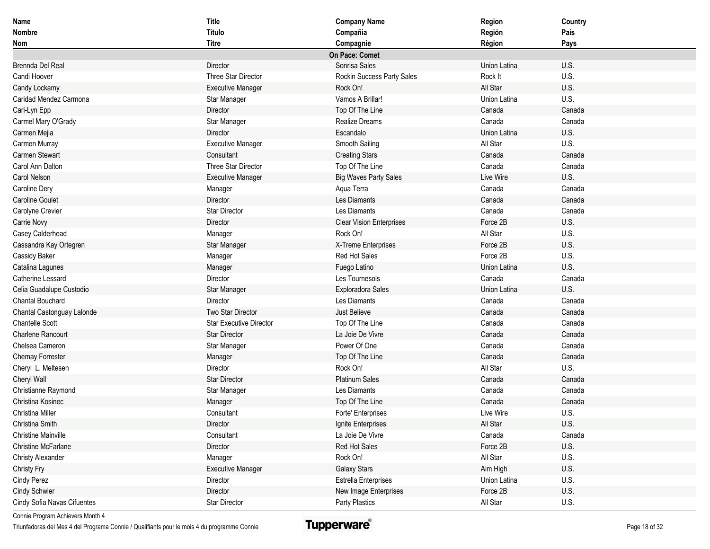| <b>Name</b>                 | <b>Title</b>                   | <b>Company Name</b>             | Region       | Country |
|-----------------------------|--------------------------------|---------------------------------|--------------|---------|
| Nombre                      | Título                         | Compañia                        | Región       | Pais    |
| Nom                         | <b>Titre</b>                   | Compagnie                       | Région       | Pays    |
|                             |                                | On Pace: Comet                  |              |         |
| Brennda Del Real            | Director                       | Sonrisa Sales                   | Union Latina | U.S.    |
| Candi Hoover                | Three Star Director            | Rockin Success Party Sales      | Rock It      | U.S.    |
| Candy Lockamy               | <b>Executive Manager</b>       | Rock On!                        | All Star     | U.S.    |
| Caridad Mendez Carmona      | Star Manager                   | Vamos A Brillar!                | Union Latina | U.S.    |
| Cari-Lyn Epp                | Director                       | Top Of The Line                 | Canada       | Canada  |
| Carmel Mary O'Grady         | Star Manager                   | Realize Dreams                  | Canada       | Canada  |
| Carmen Mejia                | Director                       | Escandalo                       | Union Latina | U.S.    |
| Carmen Murray               | <b>Executive Manager</b>       | Smooth Sailing                  | All Star     | U.S.    |
| <b>Carmen Stewart</b>       | Consultant                     | <b>Creating Stars</b>           | Canada       | Canada  |
| Carol Ann Dalton            | Three Star Director            | Top Of The Line                 | Canada       | Canada  |
| Carol Nelson                | <b>Executive Manager</b>       | <b>Big Waves Party Sales</b>    | Live Wire    | U.S.    |
| Caroline Dery               | Manager                        | Aqua Terra                      | Canada       | Canada  |
| <b>Caroline Goulet</b>      | Director                       | Les Diamants                    | Canada       | Canada  |
| Carolyne Crevier            | <b>Star Director</b>           | Les Diamants                    | Canada       | Canada  |
| Carrie Novy                 | Director                       | <b>Clear Vision Enterprises</b> | Force 2B     | U.S.    |
| Casey Calderhead            | Manager                        | Rock On!                        | All Star     | U.S.    |
| Cassandra Kay Ortegren      | Star Manager                   | X-Treme Enterprises             | Force 2B     | U.S.    |
| Cassidy Baker               | Manager                        | Red Hot Sales                   | Force 2B     | U.S.    |
| Catalina Lagunes            | Manager                        | Fuego Latino                    | Union Latina | U.S.    |
| Catherine Lessard           | Director                       | Les Tournesols                  | Canada       | Canada  |
| Celia Guadalupe Custodio    | Star Manager                   | Exploradora Sales               | Union Latina | U.S.    |
| Chantal Bouchard            | Director                       | Les Diamants                    | Canada       | Canada  |
| Chantal Castonguay Lalonde  | Two Star Director              | Just Believe                    | Canada       | Canada  |
| <b>Chantelle Scott</b>      | <b>Star Executive Director</b> | Top Of The Line                 | Canada       | Canada  |
| <b>Charlene Rancourt</b>    | <b>Star Director</b>           | La Joie De Vivre                | Canada       | Canada  |
| Chelsea Cameron             | Star Manager                   | Power Of One                    | Canada       | Canada  |
| <b>Chemay Forrester</b>     | Manager                        | Top Of The Line                 | Canada       | Canada  |
| Cheryl L. Meltesen          | Director                       | Rock On!                        | All Star     | U.S.    |
| Cheryl Wall                 | <b>Star Director</b>           | <b>Platinum Sales</b>           | Canada       | Canada  |
| Christianne Raymond         | Star Manager                   | Les Diamants                    | Canada       | Canada  |
| Christina Kosinec           | Manager                        | Top Of The Line                 | Canada       | Canada  |
| Christina Miller            | Consultant                     | Forte' Enterprises              | Live Wire    | U.S.    |
| Christina Smith             | Director                       | Ignite Enterprises              | All Star     | U.S.    |
| <b>Christine Mainville</b>  | Consultant                     | La Joie De Vivre                | Canada       | Canada  |
| <b>Christine McFarlane</b>  | Director                       | Red Hot Sales                   | Force 2B     | U.S.    |
| <b>Christy Alexander</b>    | Manager                        | Rock On!                        | All Star     | U.S.    |
| <b>Christy Fry</b>          | <b>Executive Manager</b>       | <b>Galaxy Stars</b>             | Aim High     | U.S.    |
| <b>Cindy Perez</b>          | Director                       | <b>Estrella Enterprises</b>     | Union Latina | U.S.    |
| <b>Cindy Schwier</b>        | Director                       | New Image Enterprises           | Force 2B     | U.S.    |
| Cindy Sofia Navas Cifuentes | Star Director                  | Party Plastics                  | All Star     | U.S.    |

Triunfadoras del Mes 4 del Programa Connie / Qualifiants pour le mois 4 du programme Connie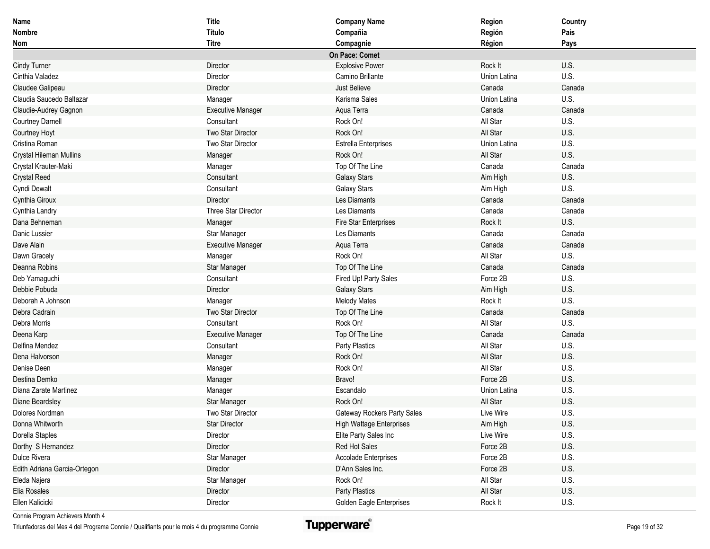| Name                         | Title                    | <b>Company Name</b>             | Region       | Country |
|------------------------------|--------------------------|---------------------------------|--------------|---------|
| <b>Nombre</b>                | Título                   | Compañia                        | Región       | Pais    |
| Nom                          | <b>Titre</b>             | Compagnie                       | Région       | Pays    |
|                              |                          | On Pace: Comet                  |              |         |
| <b>Cindy Turner</b>          | Director                 | <b>Explosive Power</b>          | Rock It      | U.S.    |
| Cinthia Valadez              | Director                 | Camino Brillante                | Union Latina | U.S.    |
| Claudee Galipeau             | Director                 | Just Believe                    | Canada       | Canada  |
| Claudia Saucedo Baltazar     | Manager                  | Karisma Sales                   | Union Latina | U.S.    |
| Claudie-Audrey Gagnon        | <b>Executive Manager</b> | Aqua Terra                      | Canada       | Canada  |
| <b>Courtney Darnell</b>      | Consultant               | Rock On!                        | All Star     | U.S.    |
| Courtney Hoyt                | Two Star Director        | Rock On!                        | All Star     | U.S.    |
| Cristina Roman               | Two Star Director        | Estrella Enterprises            | Union Latina | U.S.    |
| Crystal Hileman Mullins      | Manager                  | Rock On!                        | All Star     | U.S.    |
| Crystal Krauter-Maki         | Manager                  | Top Of The Line                 | Canada       | Canada  |
| <b>Crystal Reed</b>          | Consultant               | <b>Galaxy Stars</b>             | Aim High     | U.S.    |
| Cyndi Dewalt                 | Consultant               | Galaxy Stars                    | Aim High     | U.S.    |
| Cynthia Giroux               | Director                 | Les Diamants                    | Canada       | Canada  |
| Cynthia Landry               | Three Star Director      | Les Diamants                    | Canada       | Canada  |
| Dana Behneman                | Manager                  | Fire Star Enterprises           | Rock It      | U.S.    |
| Danic Lussier                | Star Manager             | Les Diamants                    | Canada       | Canada  |
| Dave Alain                   | <b>Executive Manager</b> | Aqua Terra                      | Canada       | Canada  |
| Dawn Gracely                 | Manager                  | Rock On!                        | All Star     | U.S.    |
| Deanna Robins                | Star Manager             | Top Of The Line                 | Canada       | Canada  |
| Deb Yamaguchi                | Consultant               | Fired Up! Party Sales           | Force 2B     | U.S.    |
| Debbie Pobuda                | Director                 | Galaxy Stars                    | Aim High     | U.S.    |
| Deborah A Johnson            | Manager                  | <b>Melody Mates</b>             | Rock It      | U.S.    |
| Debra Cadrain                | Two Star Director        | Top Of The Line                 | Canada       | Canada  |
| Debra Morris                 | Consultant               | Rock On!                        | All Star     | U.S.    |
| Deena Karp                   | <b>Executive Manager</b> | Top Of The Line                 | Canada       | Canada  |
| Delfina Mendez               | Consultant               | Party Plastics                  | All Star     | U.S.    |
| Dena Halvorson               | Manager                  | Rock On!                        | All Star     | U.S.    |
| Denise Deen                  | Manager                  | Rock On!                        | All Star     | U.S.    |
| Destina Demko                | Manager                  | Bravo!                          | Force 2B     | U.S.    |
| Diana Zarate Martinez        | Manager                  | Escandalo                       | Union Latina | U.S.    |
| Diane Beardsley              | Star Manager             | Rock On!                        | All Star     | U.S.    |
| Dolores Nordman              | Two Star Director        | Gateway Rockers Party Sales     | Live Wire    | U.S.    |
| Donna Whitworth              | <b>Star Director</b>     | <b>High Wattage Enterprises</b> | Aim High     | U.S.    |
| Dorella Staples              | Director                 | Elite Party Sales Inc           | Live Wire    | U.S.    |
| Dorthy S Hernandez           | Director                 | Red Hot Sales                   | Force 2B     | U.S.    |
| Dulce Rivera                 | Star Manager             | Accolade Enterprises            | Force 2B     | U.S.    |
| Edith Adriana Garcia-Ortegon | Director                 | D'Ann Sales Inc.                | Force 2B     | U.S.    |
| Eleda Najera                 | Star Manager             | Rock On!                        | All Star     | U.S.    |
| Elia Rosales                 | Director                 | Party Plastics                  | All Star     | U.S.    |
| Ellen Kalicicki              | Director                 | Golden Eagle Enterprises        | Rock It      | U.S.    |

Triunfadoras del Mes 4 del Programa Connie / Qualifiants pour le mois 4 du programme Connie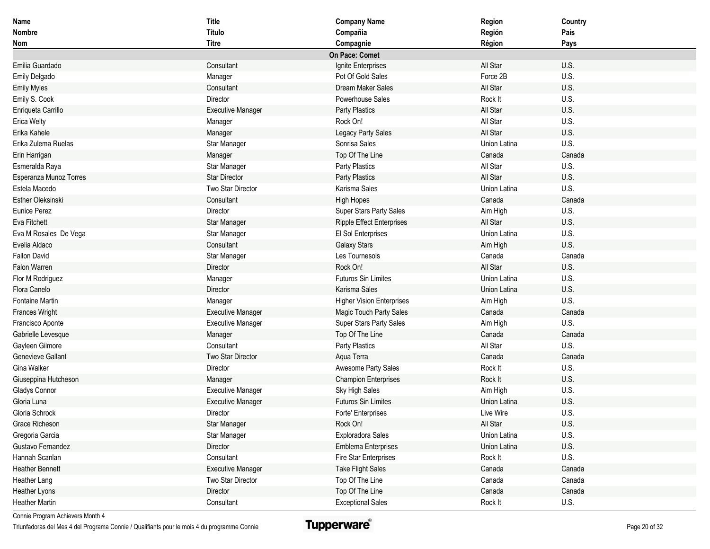| <b>Name</b>              | <b>Title</b>             | <b>Company Name</b>              | Region       | Country     |
|--------------------------|--------------------------|----------------------------------|--------------|-------------|
| <b>Nombre</b>            | Título                   | Compañia                         | Región       | Pais        |
| Nom                      | <b>Titre</b>             | Compagnie                        | Région       | Pays        |
|                          |                          | On Pace: Comet                   |              |             |
| Emilia Guardado          | Consultant               | Ignite Enterprises               | All Star     | U.S.        |
| Emily Delgado            | Manager                  | Pot Of Gold Sales                | Force 2B     | U.S.        |
| <b>Emily Myles</b>       | Consultant               | Dream Maker Sales                | All Star     | U.S.        |
| Emily S. Cook            | Director                 | Powerhouse Sales                 | Rock It      | U.S.        |
| Enriqueta Carrillo       | <b>Executive Manager</b> | Party Plastics                   | All Star     | U.S.        |
| Erica Welty              | Manager                  | Rock On!                         | All Star     | U.S.        |
| Erika Kahele             | Manager                  | Legacy Party Sales               | All Star     | U.S.        |
| Erika Zulema Ruelas      | Star Manager             | Sonrisa Sales                    | Union Latina | U.S.        |
| Erin Harrigan            | Manager                  | Top Of The Line                  | Canada       | Canada      |
| Esmeralda Raya           | Star Manager             | Party Plastics                   | All Star     | U.S.        |
| Esperanza Munoz Torres   | <b>Star Director</b>     | Party Plastics                   | All Star     | U.S.        |
| Estela Macedo            | Two Star Director        | Karisma Sales                    | Union Latina | U.S.        |
| <b>Esther Oleksinski</b> | Consultant               | <b>High Hopes</b>                | Canada       | Canada      |
| <b>Eunice Perez</b>      | Director                 | Super Stars Party Sales          | Aim High     | U.S.        |
| <b>Eva Fitchett</b>      | Star Manager             | <b>Ripple Effect Enterprises</b> | All Star     | U.S.        |
| Eva M Rosales De Vega    | Star Manager             | El Sol Enterprises               | Union Latina | U.S.        |
| Evelia Aldaco            | Consultant               | <b>Galaxy Stars</b>              | Aim High     | U.S.        |
| <b>Fallon David</b>      | Star Manager             | Les Tournesols                   | Canada       | Canada      |
| Falon Warren             | Director                 | Rock On!                         | All Star     | U.S.        |
| Flor M Rodriguez         | Manager                  | <b>Futuros Sin Limites</b>       | Union Latina | U.S.        |
| Flora Canelo             | Director                 | Karisma Sales                    | Union Latina | U.S.        |
| Fontaine Martin          | Manager                  | <b>Higher Vision Enterprises</b> | Aim High     | U.S.        |
| <b>Frances Wright</b>    | <b>Executive Manager</b> | Magic Touch Party Sales          | Canada       | Canada      |
| Francisco Aponte         | Executive Manager        | Super Stars Party Sales          | Aim High     | U.S.        |
| Gabrielle Levesque       | Manager                  | Top Of The Line                  | Canada       | Canada      |
| Gayleen Gilmore          | Consultant               | Party Plastics                   | All Star     | U.S.        |
| Genevieve Gallant        | Two Star Director        | Aqua Terra                       | Canada       | Canada      |
| Gina Walker              | Director                 | Awesome Party Sales              | Rock It      | U.S.        |
| Giuseppina Hutcheson     | Manager                  | <b>Champion Enterprises</b>      | Rock It      | U.S.        |
| Gladys Connor            | <b>Executive Manager</b> | Sky High Sales                   | Aim High     | U.S.        |
| Gloria Luna              | <b>Executive Manager</b> | <b>Futuros Sin Limites</b>       | Union Latina | U.S.        |
| Gloria Schrock           | Director                 | Forte' Enterprises               | Live Wire    | U.S.        |
| Grace Richeson           | Star Manager             | Rock On!                         | All Star     | U.S.        |
| Gregoria Garcia          | Star Manager             | Exploradora Sales                | Union Latina | U.S.        |
| Gustavo Fernandez        | Director                 | <b>Emblema Enterprises</b>       | Union Latina | U.S.        |
| Hannah Scanlan           | Consultant               | Fire Star Enterprises            | Rock It      | U.S.        |
| <b>Heather Bennett</b>   | <b>Executive Manager</b> | <b>Take Flight Sales</b>         | Canada       | Canada      |
| Heather Lang             | Two Star Director        | Top Of The Line                  | Canada       | Canada      |
| <b>Heather Lyons</b>     | Director                 | Top Of The Line                  | Canada       | Canada      |
| <b>Heather Martin</b>    | Consultant               | <b>Exceptional Sales</b>         | Rock It      | <b>U.S.</b> |

Triunfadoras del Mes 4 del Programa Connie / Qualifiants pour le mois 4 du programme Connie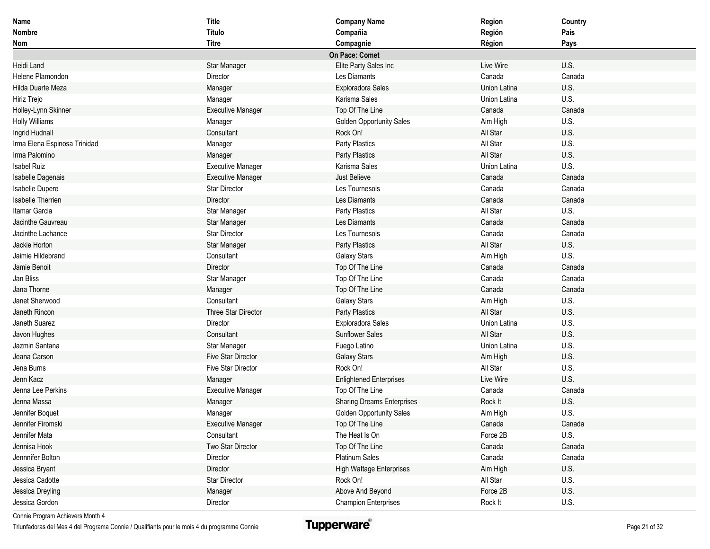| Name                         | <b>Title</b>              | <b>Company Name</b>               | Region       | Country |
|------------------------------|---------------------------|-----------------------------------|--------------|---------|
| <b>Nombre</b>                | Título                    | Compañia                          | Región       | Pais    |
| Nom                          | <b>Titre</b>              | Compagnie                         | Région       | Pays    |
|                              |                           | On Pace: Comet                    |              |         |
| Heidi Land                   | Star Manager              | Elite Party Sales Inc             | Live Wire    | U.S.    |
| Helene Plamondon             | Director                  | Les Diamants                      | Canada       | Canada  |
| Hilda Duarte Meza            | Manager                   | Exploradora Sales                 | Union Latina | U.S.    |
| Hiriz Trejo                  | Manager                   | Karisma Sales                     | Union Latina | U.S.    |
| Holley-Lynn Skinner          | <b>Executive Manager</b>  | Top Of The Line                   | Canada       | Canada  |
| <b>Holly Williams</b>        | Manager                   | <b>Golden Opportunity Sales</b>   | Aim High     | U.S.    |
| Ingrid Hudnall               | Consultant                | Rock On!                          | All Star     | U.S.    |
| Irma Elena Espinosa Trinidad | Manager                   | Party Plastics                    | All Star     | U.S.    |
| Irma Palomino                | Manager                   | Party Plastics                    | All Star     | U.S.    |
| <b>Isabel Ruiz</b>           | <b>Executive Manager</b>  | Karisma Sales                     | Union Latina | U.S.    |
| Isabelle Dagenais            | <b>Executive Manager</b>  | Just Believe                      | Canada       | Canada  |
| Isabelle Dupere              | <b>Star Director</b>      | Les Tournesols                    | Canada       | Canada  |
| <b>Isabelle Therrien</b>     | Director                  | Les Diamants                      | Canada       | Canada  |
| Itamar Garcia                | Star Manager              | Party Plastics                    | All Star     | U.S.    |
| Jacinthe Gauvreau            | Star Manager              | Les Diamants                      | Canada       | Canada  |
| Jacinthe Lachance            | <b>Star Director</b>      | Les Tournesols                    | Canada       | Canada  |
| Jackie Horton                | Star Manager              | Party Plastics                    | All Star     | U.S.    |
| Jaimie Hildebrand            | Consultant                | <b>Galaxy Stars</b>               | Aim High     | U.S.    |
| Jamie Benoit                 | Director                  | Top Of The Line                   | Canada       | Canada  |
| Jan Bliss                    | Star Manager              | Top Of The Line                   | Canada       | Canada  |
| Jana Thorne                  | Manager                   | Top Of The Line                   | Canada       | Canada  |
| Janet Sherwood               | Consultant                | Galaxy Stars                      | Aim High     | U.S.    |
| Janeth Rincon                | Three Star Director       | Party Plastics                    | All Star     | U.S.    |
| Janeth Suarez                | Director                  | Exploradora Sales                 | Union Latina | U.S.    |
| Javon Hughes                 | Consultant                | <b>Sunflower Sales</b>            | All Star     | U.S.    |
| Jazmin Santana               | Star Manager              | Fuego Latino                      | Union Latina | U.S.    |
| Jeana Carson                 | <b>Five Star Director</b> | <b>Galaxy Stars</b>               | Aim High     | U.S.    |
| Jena Burns                   | <b>Five Star Director</b> | Rock On!                          | All Star     | U.S.    |
| Jenn Kacz                    | Manager                   | <b>Enlightened Enterprises</b>    | Live Wire    | U.S.    |
| Jenna Lee Perkins            | <b>Executive Manager</b>  | Top Of The Line                   | Canada       | Canada  |
| Jenna Massa                  | Manager                   | <b>Sharing Dreams Enterprises</b> | Rock It      | U.S.    |
| Jennifer Boquet              | Manager                   | <b>Golden Opportunity Sales</b>   | Aim High     | U.S.    |
| Jennifer Firomski            | <b>Executive Manager</b>  | Top Of The Line                   | Canada       | Canada  |
| Jennifer Mata                | Consultant                | The Heat Is On                    | Force 2B     | U.S.    |
| Jennisa Hook                 | Two Star Director         | Top Of The Line                   | Canada       | Canada  |
| Jennnifer Bolton             | Director                  | Platinum Sales                    | Canada       | Canada  |
| Jessica Bryant               | Director                  | High Wattage Enterprises          | Aim High     | U.S.    |
| Jessica Cadotte              | Star Director             | Rock On!                          | All Star     | U.S.    |
| Jessica Dreyling             | Manager                   | Above And Beyond                  | Force 2B     | U.S.    |
| Jessica Gordon               | Director                  | <b>Champion Enterprises</b>       | Rock It      | U.S.    |

Triunfadoras del Mes 4 del Programa Connie / Qualifiants pour le mois 4 du programme Connie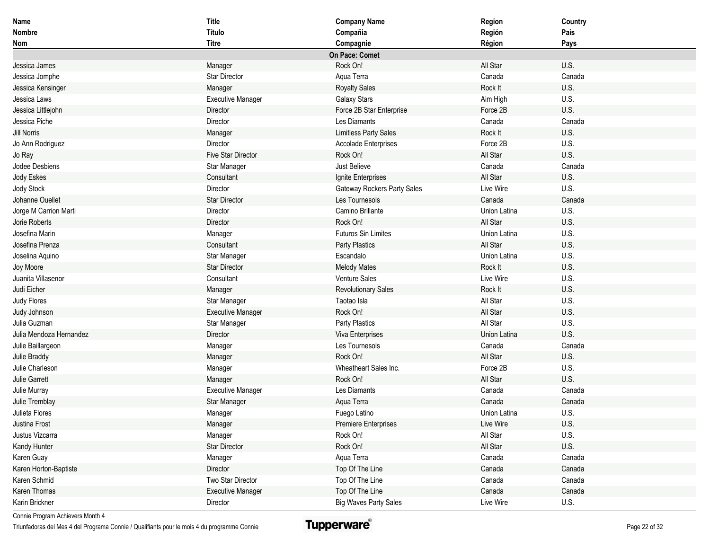| Name                    | <b>Title</b>              | <b>Company Name</b>          | Region       | Country |
|-------------------------|---------------------------|------------------------------|--------------|---------|
| <b>Nombre</b>           | <b>Título</b>             | Compañia                     | Región       | Pais    |
| <b>Nom</b>              | <b>Titre</b>              | Compagnie                    | Région       | Pays    |
|                         |                           | On Pace: Comet               |              |         |
| Jessica James           | Manager                   | Rock On!                     | All Star     | U.S.    |
| Jessica Jomphe          | Star Director             | Aqua Terra                   | Canada       | Canada  |
| Jessica Kensinger       | Manager                   | <b>Royalty Sales</b>         | Rock It      | U.S.    |
| Jessica Laws            | <b>Executive Manager</b>  | <b>Galaxy Stars</b>          | Aim High     | U.S.    |
| Jessica Littlejohn      | Director                  | Force 2B Star Enterprise     | Force 2B     | U.S.    |
| Jessica Piche           | Director                  | Les Diamants                 | Canada       | Canada  |
| <b>Jill Norris</b>      | Manager                   | <b>Limitless Party Sales</b> | Rock It      | U.S.    |
| Jo Ann Rodriguez        | Director                  | Accolade Enterprises         | Force 2B     | U.S.    |
| Jo Ray                  | <b>Five Star Director</b> | Rock On!                     | All Star     | U.S.    |
| Jodee Desbiens          | Star Manager              | Just Believe                 | Canada       | Canada  |
| Jody Eskes              | Consultant                | Ignite Enterprises           | All Star     | U.S.    |
| Jody Stock              | Director                  | Gateway Rockers Party Sales  | Live Wire    | U.S.    |
| Johanne Ouellet         | <b>Star Director</b>      | Les Tournesols               | Canada       | Canada  |
| Jorge M Carrion Marti   | Director                  | Camino Brillante             | Union Latina | U.S.    |
| Jorie Roberts           | Director                  | Rock On!                     | All Star     | U.S.    |
| Josefina Marin          | Manager                   | <b>Futuros Sin Limites</b>   | Union Latina | U.S.    |
| Josefina Prenza         | Consultant                | Party Plastics               | All Star     | U.S.    |
| Joselina Aquino         | Star Manager              | Escandalo                    | Union Latina | U.S.    |
| Joy Moore               | <b>Star Director</b>      | <b>Melody Mates</b>          | Rock It      | U.S.    |
| Juanita Villasenor      | Consultant                | Venture Sales                | Live Wire    | U.S.    |
| Judi Eicher             | Manager                   | <b>Revolutionary Sales</b>   | Rock It      | U.S.    |
| Judy Flores             | Star Manager              | Taotao Isla                  | All Star     | U.S.    |
| Judy Johnson            | <b>Executive Manager</b>  | Rock On!                     | All Star     | U.S.    |
| Julia Guzman            | Star Manager              | Party Plastics               | All Star     | U.S.    |
| Julia Mendoza Hernandez | Director                  | Viva Enterprises             | Union Latina | U.S.    |
| Julie Baillargeon       | Manager                   | Les Tournesols               | Canada       | Canada  |
| Julie Braddy            | Manager                   | Rock On!                     | All Star     | U.S.    |
| Julie Charleson         | Manager                   | Wheatheart Sales Inc.        | Force 2B     | U.S.    |
| <b>Julie Garrett</b>    | Manager                   | Rock On!                     | All Star     | U.S.    |
| Julie Murray            | <b>Executive Manager</b>  | Les Diamants                 | Canada       | Canada  |
| Julie Tremblay          | Star Manager              | Aqua Terra                   | Canada       | Canada  |
| Julieta Flores          | Manager                   | Fuego Latino                 | Union Latina | U.S.    |
| Justina Frost           | Manager                   | <b>Premiere Enterprises</b>  | Live Wire    | U.S.    |
| Justus Vizcarra         | Manager                   | Rock On!                     | All Star     | U.S.    |
| Kandy Hunter            | <b>Star Director</b>      | Rock On!                     | All Star     | U.S.    |
| Karen Guay              | Manager                   | Aqua Terra                   | Canada       | Canada  |
| Karen Horton-Baptiste   | Director                  | Top Of The Line              | Canada       | Canada  |
| Karen Schmid            | Two Star Director         | Top Of The Line              | Canada       | Canada  |
| Karen Thomas            | <b>Executive Manager</b>  | Top Of The Line              | Canada       | Canada  |
| Karin Brickner          | Director                  | <b>Big Waves Party Sales</b> | Live Wire    | U.S.    |

Triunfadoras del Mes 4 del Programa Connie / Qualifiants pour le mois 4 du programme Connie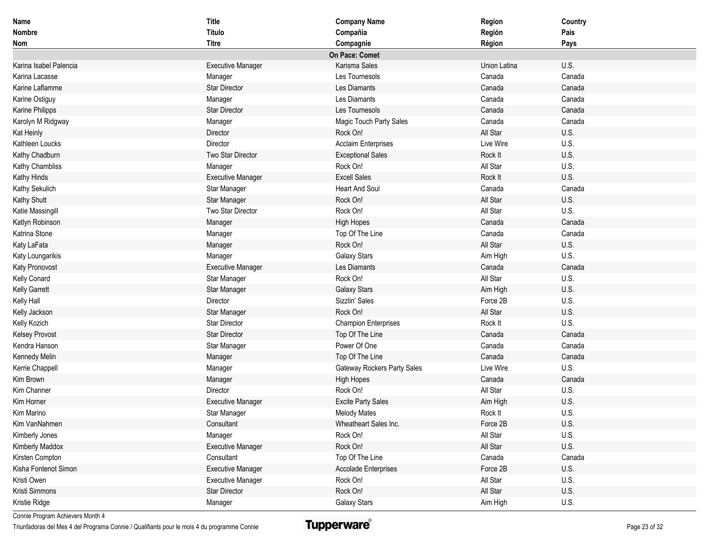| Name                   | <b>Title</b>             | <b>Company Name</b>         | Region       | Country |
|------------------------|--------------------------|-----------------------------|--------------|---------|
| <b>Nombre</b>          | <b>Título</b>            | Compañia                    | Región       | Pais    |
| <b>Nom</b>             | <b>Titre</b>             | Compagnie                   | Région       | Pays    |
|                        |                          | On Pace: Comet              |              |         |
| Karina Isabel Palencia | <b>Executive Manager</b> | Karisma Sales               | Union Latina | U.S.    |
| Karina Lacasse         | Manager                  | Les Tournesols              | Canada       | Canada  |
| Karine Laflamme        | <b>Star Director</b>     | Les Diamants                | Canada       | Canada  |
| Karine Ostiguy         | Manager                  | Les Diamants                | Canada       | Canada  |
| Karine Philipps        | <b>Star Director</b>     | Les Tournesols              | Canada       | Canada  |
| Karolyn M Ridgway      | Manager                  | Magic Touch Party Sales     | Canada       | Canada  |
| Kat Heinly             | Director                 | Rock On!                    | All Star     | U.S.    |
| Kathleen Loucks        | Director                 | <b>Acclaim Enterprises</b>  | Live Wire    | U.S.    |
| Kathy Chadburn         | Two Star Director        | <b>Exceptional Sales</b>    | Rock It      | U.S.    |
| Kathy Chambliss        | Manager                  | Rock On!                    | All Star     | U.S.    |
| Kathy Hinds            | <b>Executive Manager</b> | <b>Excell Sales</b>         | Rock It      | U.S.    |
| Kathy Sekulich         | Star Manager             | <b>Heart And Soul</b>       | Canada       | Canada  |
| Kathy Shutt            | Star Manager             | Rock On!                    | All Star     | U.S.    |
| Katie Massingill       | Two Star Director        | Rock On!                    | All Star     | U.S.    |
| Katlyn Robinson        | Manager                  | <b>High Hopes</b>           | Canada       | Canada  |
| Katrina Stone          | Manager                  | Top Of The Line             | Canada       | Canada  |
| Katy LaFata            | Manager                  | Rock On!                    | All Star     | U.S.    |
| Katy Loungarikis       | Manager                  | <b>Galaxy Stars</b>         | Aim High     | U.S.    |
| Katy Pronovost         | <b>Executive Manager</b> | Les Diamants                | Canada       | Canada  |
| Kelly Conard           | Star Manager             | Rock On!                    | All Star     | U.S.    |
| Kelly Garrett          | Star Manager             | <b>Galaxy Stars</b>         | Aim High     | U.S.    |
| Kelly Hall             | Director                 | Sizzlin' Sales              | Force 2B     | U.S.    |
| Kelly Jackson          | Star Manager             | Rock On!                    | All Star     | U.S.    |
| Kelly Kozich           | <b>Star Director</b>     | <b>Champion Enterprises</b> | Rock It      | U.S.    |
| <b>Kelsey Provost</b>  | <b>Star Director</b>     | Top Of The Line             | Canada       | Canada  |
| Kendra Hanson          | Star Manager             | Power Of One                | Canada       | Canada  |
| Kennedy Melin          | Manager                  | Top Of The Line             | Canada       | Canada  |
| Kerrie Chappell        | Manager                  | Gateway Rockers Party Sales | Live Wire    | U.S.    |
| Kim Brown              | Manager                  | <b>High Hopes</b>           | Canada       | Canada  |
| Kim Channer            | Director                 | Rock On!                    | All Star     | U.S.    |
| Kim Horner             | <b>Executive Manager</b> | <b>Excite Party Sales</b>   | Aim High     | U.S.    |
| Kim Marino             | Star Manager             | <b>Melody Mates</b>         | Rock It      | U.S.    |
| Kim VanNahmen          | Consultant               | Wheatheart Sales Inc.       | Force 2B     | U.S.    |
| Kimberly Jones         | Manager                  | Rock On!                    | All Star     | U.S.    |
| Kimberly Maddox        | <b>Executive Manager</b> | Rock On!                    | All Star     | U.S.    |
| Kirsten Compton        | Consultant               | Top Of The Line             | Canada       | Canada  |
| Kisha Fontenot Simon   | <b>Executive Manager</b> | <b>Accolade Enterprises</b> | Force 2B     | U.S.    |
| Kristi Owen            | <b>Executive Manager</b> | Rock On!                    | All Star     | U.S.    |
| Kristi Simmons         | Star Director            | Rock On!                    | All Star     | U.S.    |
| Kristie Ridge          | Manager                  | <b>Galaxy Stars</b>         | Aim High     | U.S.    |

Triunfadoras del Mes 4 del Programa Connie / Qualifiants pour le mois 4 du programme Connie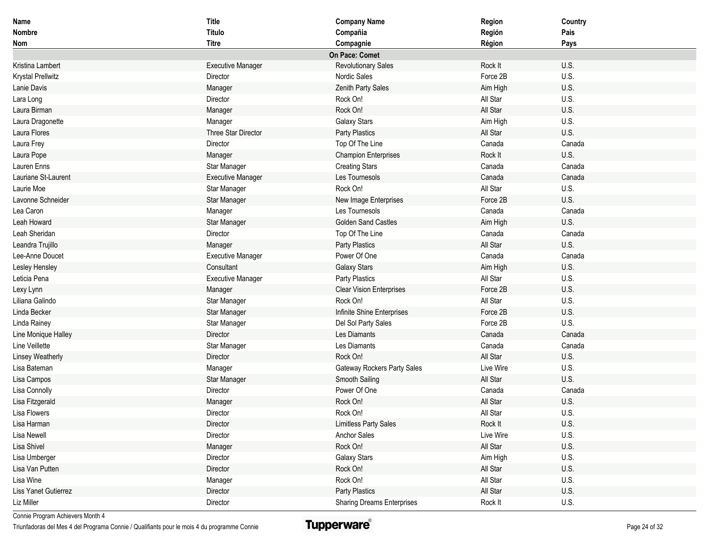| Name                        | <b>Title</b>             | <b>Company Name</b>               | Region    | Country |
|-----------------------------|--------------------------|-----------------------------------|-----------|---------|
| Nombre                      | Título                   | Compañia                          | Región    | Pais    |
| Nom                         | <b>Titre</b>             | Compagnie                         | Région    | Pays    |
|                             |                          | On Pace: Comet                    |           |         |
| Kristina Lambert            | <b>Executive Manager</b> | <b>Revolutionary Sales</b>        | Rock It   | U.S.    |
| Krystal Prellwitz           | Director                 | Nordic Sales                      | Force 2B  | U.S.    |
| Lanie Davis                 | Manager                  | Zenith Party Sales                | Aim High  | U.S.    |
| Lara Long                   | Director                 | Rock On!                          | All Star  | U.S.    |
| Laura Birman                | Manager                  | Rock On!                          | All Star  | U.S.    |
| Laura Dragonette            | Manager                  | <b>Galaxy Stars</b>               | Aim High  | U.S.    |
| Laura Flores                | Three Star Director      | Party Plastics                    | All Star  | U.S.    |
| Laura Frey                  | Director                 | Top Of The Line                   | Canada    | Canada  |
| Laura Pope                  | Manager                  | <b>Champion Enterprises</b>       | Rock It   | U.S.    |
| Lauren Enns                 | Star Manager             | <b>Creating Stars</b>             | Canada    | Canada  |
| Lauriane St-Laurent         | <b>Executive Manager</b> | Les Tournesols                    | Canada    | Canada  |
| Laurie Moe                  | Star Manager             | Rock On!                          | All Star  | U.S.    |
| Lavonne Schneider           | Star Manager             | New Image Enterprises             | Force 2B  | U.S.    |
| Lea Caron                   | Manager                  | Les Tournesols                    | Canada    | Canada  |
| Leah Howard                 | Star Manager             | <b>Golden Sand Castles</b>        | Aim High  | U.S.    |
| Leah Sheridan               | Director                 | Top Of The Line                   | Canada    | Canada  |
| Leandra Trujillo            | Manager                  | Party Plastics                    | All Star  | U.S.    |
| Lee-Anne Doucet             | <b>Executive Manager</b> | Power Of One                      | Canada    | Canada  |
| Lesley Hensley              | Consultant               | <b>Galaxy Stars</b>               | Aim High  | U.S.    |
| Leticia Pena                | <b>Executive Manager</b> | Party Plastics                    | All Star  | U.S.    |
| Lexy Lynn                   | Manager                  | <b>Clear Vision Enterprises</b>   | Force 2B  | U.S.    |
| Liliana Galindo             | Star Manager             | Rock On!                          | All Star  | U.S.    |
| Linda Becker                | Star Manager             | Infinite Shine Enterprises        | Force 2B  | U.S.    |
| Linda Rainey                | Star Manager             | Del Sol Party Sales               | Force 2B  | U.S.    |
| Line Monique Halley         | Director                 | Les Diamants                      | Canada    | Canada  |
| Line Veillette              | Star Manager             | Les Diamants                      | Canada    | Canada  |
| <b>Linsey Weatherly</b>     | Director                 | Rock On!                          | All Star  | U.S.    |
| Lisa Bateman                | Manager                  | Gateway Rockers Party Sales       | Live Wire | U.S.    |
| Lisa Campos                 | Star Manager             | Smooth Sailing                    | All Star  | U.S.    |
| Lisa Connolly               | Director                 | Power Of One                      | Canada    | Canada  |
| Lisa Fitzgerald             | Manager                  | Rock On!                          | All Star  | U.S.    |
| Lisa Flowers                | Director                 | Rock On!                          | All Star  | U.S.    |
| Lisa Harman                 | Director                 | <b>Limitless Party Sales</b>      | Rock It   | U.S.    |
| Lisa Newell                 | Director                 | Anchor Sales                      | Live Wire | U.S.    |
| Lisa Shivel                 | Manager                  | Rock On!                          | All Star  | U.S.    |
| Lisa Umberger               | Director                 | Galaxy Stars                      | Aim High  | U.S.    |
| Lisa Van Putten             | Director                 | Rock On!                          | All Star  | U.S.    |
| Lisa Wine                   | Manager                  | Rock On!                          | All Star  | U.S.    |
| <b>Liss Yanet Gutierrez</b> | Director                 | Party Plastics                    | All Star  | U.S.    |
| Liz Miller                  | Director                 | <b>Sharing Dreams Enterprises</b> | Rock It   | U.S.    |

Triunfadoras del Mes 4 del Programa Connie / Qualifiants pour le mois 4 du programme Connie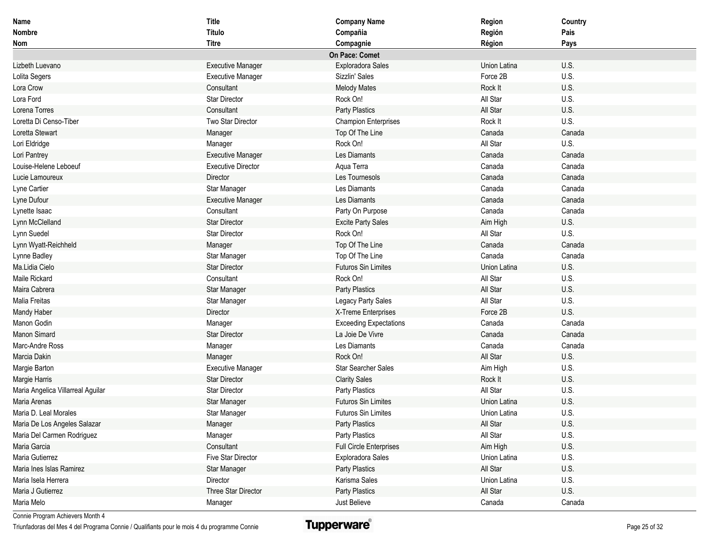| Name                              | <b>Title</b>              | <b>Company Name</b>            | Region       | Country |
|-----------------------------------|---------------------------|--------------------------------|--------------|---------|
| <b>Nombre</b>                     | Título                    | Compañia                       | Región       | Pais    |
| Nom                               | <b>Titre</b>              | Compagnie                      | Région       | Pays    |
|                                   |                           | On Pace: Comet                 |              |         |
| Lizbeth Luevano                   | <b>Executive Manager</b>  | Exploradora Sales              | Union Latina | U.S.    |
| Lolita Segers                     | <b>Executive Manager</b>  | Sizzlin' Sales                 | Force 2B     | U.S.    |
| Lora Crow                         | Consultant                | <b>Melody Mates</b>            | Rock It      | U.S.    |
| Lora Ford                         | <b>Star Director</b>      | Rock On!                       | All Star     | U.S.    |
| Lorena Torres                     | Consultant                | Party Plastics                 | All Star     | U.S.    |
| Loretta Di Censo-Tiber            | Two Star Director         | <b>Champion Enterprises</b>    | Rock It      | U.S.    |
| Loretta Stewart                   | Manager                   | Top Of The Line                | Canada       | Canada  |
| Lori Eldridge                     | Manager                   | Rock On!                       | All Star     | U.S.    |
| Lori Pantrey                      | <b>Executive Manager</b>  | Les Diamants                   | Canada       | Canada  |
| Louise-Helene Leboeuf             | <b>Executive Director</b> | Aqua Terra                     | Canada       | Canada  |
| Lucie Lamoureux                   | Director                  | Les Tournesols                 | Canada       | Canada  |
| Lyne Cartier                      | Star Manager              | Les Diamants                   | Canada       | Canada  |
| Lyne Dufour                       | <b>Executive Manager</b>  | Les Diamants                   | Canada       | Canada  |
| Lynette Isaac                     | Consultant                | Party On Purpose               | Canada       | Canada  |
| Lynn McClelland                   | <b>Star Director</b>      | <b>Excite Party Sales</b>      | Aim High     | U.S.    |
| Lynn Suedel                       | <b>Star Director</b>      | Rock On!                       | All Star     | U.S.    |
| Lynn Wyatt-Reichheld              | Manager                   | Top Of The Line                | Canada       | Canada  |
| Lynne Badley                      | Star Manager              | Top Of The Line                | Canada       | Canada  |
| Ma.Lidia Cielo                    | <b>Star Director</b>      | <b>Futuros Sin Limites</b>     | Union Latina | U.S.    |
| Maile Rickard                     | Consultant                | Rock On!                       | All Star     | U.S.    |
| Maira Cabrera                     | Star Manager              | Party Plastics                 | All Star     | U.S.    |
| Malia Freitas                     | Star Manager              | Legacy Party Sales             | All Star     | U.S.    |
| Mandy Haber                       | Director                  | X-Treme Enterprises            | Force 2B     | U.S.    |
| Manon Godin                       | Manager                   | <b>Exceeding Expectations</b>  | Canada       | Canada  |
| Manon Simard                      | <b>Star Director</b>      | La Joie De Vivre               | Canada       | Canada  |
| Marc-Andre Ross                   | Manager                   | Les Diamants                   | Canada       | Canada  |
| Marcia Dakin                      | Manager                   | Rock On!                       | All Star     | U.S.    |
| Margie Barton                     | <b>Executive Manager</b>  | <b>Star Searcher Sales</b>     | Aim High     | U.S.    |
| Margie Harris                     | <b>Star Director</b>      | <b>Clarity Sales</b>           | Rock It      | U.S.    |
| Maria Angelica Villarreal Aguilar | <b>Star Director</b>      | Party Plastics                 | All Star     | U.S.    |
| Maria Arenas                      | Star Manager              | <b>Futuros Sin Limites</b>     | Union Latina | U.S.    |
| Maria D. Leal Morales             | Star Manager              | <b>Futuros Sin Limites</b>     | Union Latina | U.S.    |
| Maria De Los Angeles Salazar      | Manager                   | Party Plastics                 | All Star     | U.S.    |
| Maria Del Carmen Rodriguez        | Manager                   | Party Plastics                 | All Star     | U.S.    |
| Maria Garcia                      | Consultant                | <b>Full Circle Enterprises</b> | Aim High     | U.S.    |
| Maria Gutierrez                   | Five Star Director        | Exploradora Sales              | Union Latina | U.S.    |
| Maria Ines Islas Ramirez          | Star Manager              | Party Plastics                 | All Star     | U.S.    |
| Maria Isela Herrera               | Director                  | Karisma Sales                  | Union Latina | U.S.    |
| Maria J Gutierrez                 | Three Star Director       | Party Plastics                 | All Star     | U.S.    |
| Maria Melo                        | Manager                   | Just Believe                   | Canada       | Canada  |

Triunfadoras del Mes 4 del Programa Connie / Qualifiants pour le mois 4 du programme Connie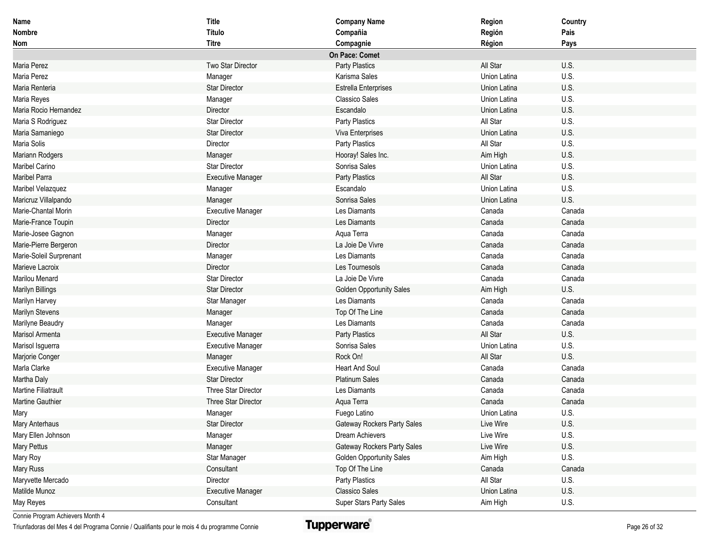| <b>Name</b>                | <b>Title</b>             | <b>Company Name</b>                | Region       | Country |
|----------------------------|--------------------------|------------------------------------|--------------|---------|
| <b>Nombre</b>              | Título                   | Compañia                           | Región       | Pais    |
| Nom                        | <b>Titre</b>             | Compagnie                          | Région       | Pays    |
|                            |                          | On Pace: Comet                     |              |         |
| Maria Perez                | Two Star Director        | Party Plastics                     | All Star     | U.S.    |
| Maria Perez                | Manager                  | Karisma Sales                      | Union Latina | U.S.    |
| Maria Renteria             | <b>Star Director</b>     | <b>Estrella Enterprises</b>        | Union Latina | U.S.    |
| Maria Reyes                | Manager                  | <b>Classico Sales</b>              | Union Latina | U.S.    |
| Maria Rocio Hernandez      | Director                 | Escandalo                          | Union Latina | U.S.    |
| Maria S Rodriguez          | <b>Star Director</b>     | Party Plastics                     | All Star     | U.S.    |
| Maria Samaniego            | <b>Star Director</b>     | Viva Enterprises                   | Union Latina | U.S.    |
| Maria Solis                | Director                 | Party Plastics                     | All Star     | U.S.    |
| Mariann Rodgers            | Manager                  | Hooray! Sales Inc.                 | Aim High     | U.S.    |
| Maribel Carino             | <b>Star Director</b>     | Sonrisa Sales                      | Union Latina | U.S.    |
| <b>Maribel Parra</b>       | <b>Executive Manager</b> | Party Plastics                     | All Star     | U.S.    |
| Maribel Velazquez          | Manager                  | Escandalo                          | Union Latina | U.S.    |
| Maricruz Villalpando       | Manager                  | Sonrisa Sales                      | Union Latina | U.S.    |
| Marie-Chantal Morin        | <b>Executive Manager</b> | Les Diamants                       | Canada       | Canada  |
| Marie-France Toupin        | Director                 | Les Diamants                       | Canada       | Canada  |
| Marie-Josee Gagnon         | Manager                  | Aqua Terra                         | Canada       | Canada  |
| Marie-Pierre Bergeron      | Director                 | La Joie De Vivre                   | Canada       | Canada  |
| Marie-Soleil Surprenant    | Manager                  | Les Diamants                       | Canada       | Canada  |
| Marieve Lacroix            | Director                 | Les Tournesols                     | Canada       | Canada  |
| Marilou Menard             | <b>Star Director</b>     | La Joie De Vivre                   | Canada       | Canada  |
| Marilyn Billings           | <b>Star Director</b>     | <b>Golden Opportunity Sales</b>    | Aim High     | U.S.    |
| Marilyn Harvey             | Star Manager             | Les Diamants                       | Canada       | Canada  |
| Marilyn Stevens            | Manager                  | Top Of The Line                    | Canada       | Canada  |
| Marilyne Beaudry           | Manager                  | Les Diamants                       | Canada       | Canada  |
| Marisol Armenta            | <b>Executive Manager</b> | Party Plastics                     | All Star     | U.S.    |
| Marisol Isguerra           | <b>Executive Manager</b> | Sonrisa Sales                      | Union Latina | U.S.    |
| Marjorie Conger            | Manager                  | Rock On!                           | All Star     | U.S.    |
| Marla Clarke               | <b>Executive Manager</b> | <b>Heart And Soul</b>              | Canada       | Canada  |
| Martha Daly                | <b>Star Director</b>     | <b>Platinum Sales</b>              | Canada       | Canada  |
| <b>Martine Filiatrault</b> | Three Star Director      | Les Diamants                       | Canada       | Canada  |
| Martine Gauthier           | Three Star Director      | Aqua Terra                         | Canada       | Canada  |
| Mary                       | Manager                  | Fuego Latino                       | Union Latina | U.S.    |
| Mary Anterhaus             | <b>Star Director</b>     | <b>Gateway Rockers Party Sales</b> | Live Wire    | U.S.    |
| Mary Ellen Johnson         | Manager                  | Dream Achievers                    | Live Wire    | U.S.    |
| <b>Mary Pettus</b>         | Manager                  | Gateway Rockers Party Sales        | Live Wire    | U.S.    |
| Mary Roy                   | Star Manager             | <b>Golden Opportunity Sales</b>    | Aim High     | U.S.    |
| <b>Mary Russ</b>           | Consultant               | Top Of The Line                    | Canada       | Canada  |
| Maryvette Mercado          | Director                 | Party Plastics                     | All Star     | U.S.    |
| Matilde Munoz              | <b>Executive Manager</b> | <b>Classico Sales</b>              | Union Latina | U.S.    |
| May Reyes                  | Consultant               | Super Stars Party Sales            | Aim High     | U.S.    |

Triunfadoras del Mes 4 del Programa Connie / Qualifiants pour le mois 4 du programme Connie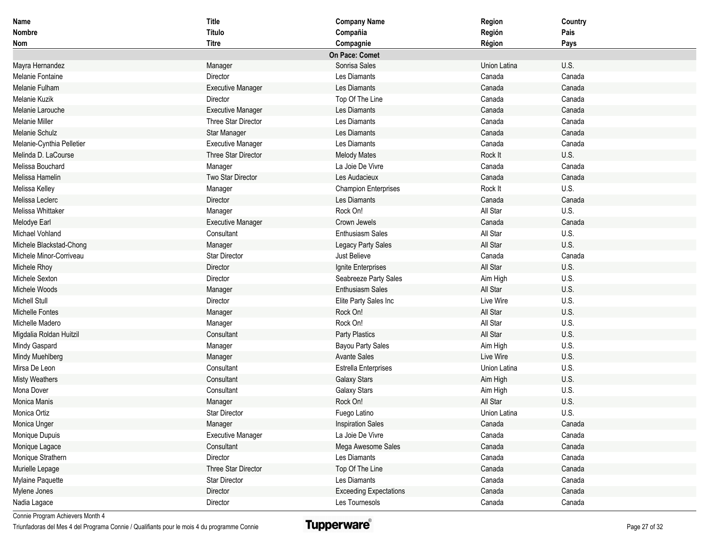| Name                      | <b>Title</b>             | <b>Company Name</b>           | Region       | Country |
|---------------------------|--------------------------|-------------------------------|--------------|---------|
| Nombre                    | Título                   | Compañia                      | Región       | Pais    |
| Nom                       | <b>Titre</b>             | Compagnie                     | Région       | Pays    |
|                           |                          | On Pace: Comet                |              |         |
| Mayra Hernandez           | Manager                  | Sonrisa Sales                 | Union Latina | U.S.    |
| Melanie Fontaine          | Director                 | Les Diamants                  | Canada       | Canada  |
| Melanie Fulham            | <b>Executive Manager</b> | Les Diamants                  | Canada       | Canada  |
| Melanie Kuzik             | Director                 | Top Of The Line               | Canada       | Canada  |
| Melanie Larouche          | <b>Executive Manager</b> | Les Diamants                  | Canada       | Canada  |
| <b>Melanie Miller</b>     | Three Star Director      | Les Diamants                  | Canada       | Canada  |
| Melanie Schulz            | Star Manager             | Les Diamants                  | Canada       | Canada  |
| Melanie-Cynthia Pelletier | <b>Executive Manager</b> | Les Diamants                  | Canada       | Canada  |
| Melinda D. LaCourse       | Three Star Director      | <b>Melody Mates</b>           | Rock It      | U.S.    |
| Melissa Bouchard          | Manager                  | La Joie De Vivre              | Canada       | Canada  |
| Melissa Hamelin           | Two Star Director        | Les Audacieux                 | Canada       | Canada  |
| Melissa Kelley            | Manager                  | <b>Champion Enterprises</b>   | Rock It      | U.S.    |
| Melissa Leclerc           | Director                 | Les Diamants                  | Canada       | Canada  |
| Melissa Whittaker         | Manager                  | Rock On!                      | All Star     | U.S.    |
| Melodye Earl              | <b>Executive Manager</b> | Crown Jewels                  | Canada       | Canada  |
| Michael Vohland           | Consultant               | <b>Enthusiasm Sales</b>       | All Star     | U.S.    |
| Michele Blackstad-Chong   | Manager                  | Legacy Party Sales            | All Star     | U.S.    |
| Michele Minor-Corriveau   | <b>Star Director</b>     | Just Believe                  | Canada       | Canada  |
| Michele Rhoy              | Director                 | Ignite Enterprises            | All Star     | U.S.    |
| Michele Sexton            | Director                 | Seabreeze Party Sales         | Aim High     | U.S.    |
| Michele Woods             | Manager                  | <b>Enthusiasm Sales</b>       | All Star     | U.S.    |
| <b>Michell Stull</b>      | Director                 | Elite Party Sales Inc         | Live Wire    | U.S.    |
| <b>Michelle Fontes</b>    | Manager                  | Rock On!                      | All Star     | U.S.    |
| Michelle Madero           | Manager                  | Rock On!                      | All Star     | U.S.    |
| Migdalia Roldan Huitzil   | Consultant               | Party Plastics                | All Star     | U.S.    |
| Mindy Gaspard             | Manager                  | Bayou Party Sales             | Aim High     | U.S.    |
| Mindy Muehlberg           | Manager                  | <b>Avante Sales</b>           | Live Wire    | U.S.    |
| Mirsa De Leon             | Consultant               | <b>Estrella Enterprises</b>   | Union Latina | U.S.    |
| <b>Misty Weathers</b>     | Consultant               | <b>Galaxy Stars</b>           | Aim High     | U.S.    |
| Mona Dover                | Consultant               | <b>Galaxy Stars</b>           | Aim High     | U.S.    |
| Monica Manis              | Manager                  | Rock On!                      | All Star     | U.S.    |
| Monica Ortiz              | <b>Star Director</b>     | Fuego Latino                  | Union Latina | U.S.    |
| Monica Unger              | Manager                  | <b>Inspiration Sales</b>      | Canada       | Canada  |
| Monique Dupuis            | <b>Executive Manager</b> | La Joie De Vivre              | Canada       | Canada  |
| Monique Lagace            | Consultant               | Mega Awesome Sales            | Canada       | Canada  |
| Monique Strathern         | Director                 | Les Diamants                  | Canada       | Canada  |
| Murielle Lepage           | Three Star Director      | Top Of The Line               | Canada       | Canada  |
| Mylaine Paquette          | Star Director            | Les Diamants                  | Canada       | Canada  |
| Mylene Jones              | Director                 | <b>Exceeding Expectations</b> | Canada       | Canada  |
| Nadia Lagace              | Director                 | Les Tournesols                | Canada       | Canada  |

Triunfadoras del Mes 4 del Programa Connie / Qualifiants pour le mois 4 du programme Connie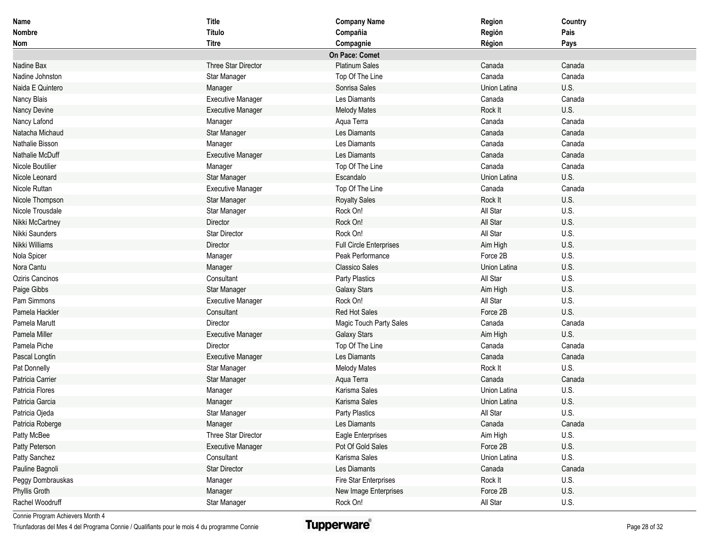| Name              | <b>Title</b>             | <b>Company Name</b>            | Region       | Country |
|-------------------|--------------------------|--------------------------------|--------------|---------|
| <b>Nombre</b>     | <b>Título</b>            | Compañia                       | Región       | Pais    |
| Nom               | <b>Titre</b>             | Compagnie                      | Région       | Pays    |
|                   |                          | On Pace: Comet                 |              |         |
| Nadine Bax        | Three Star Director      | <b>Platinum Sales</b>          | Canada       | Canada  |
| Nadine Johnston   | Star Manager             | Top Of The Line                | Canada       | Canada  |
| Naida E Quintero  | Manager                  | Sonrisa Sales                  | Union Latina | U.S.    |
| Nancy Blais       | <b>Executive Manager</b> | Les Diamants                   | Canada       | Canada  |
| Nancy Devine      | <b>Executive Manager</b> | <b>Melody Mates</b>            | Rock It      | U.S.    |
| Nancy Lafond      | Manager                  | Aqua Terra                     | Canada       | Canada  |
| Natacha Michaud   | Star Manager             | Les Diamants                   | Canada       | Canada  |
| Nathalie Bisson   | Manager                  | Les Diamants                   | Canada       | Canada  |
| Nathalie McDuff   | <b>Executive Manager</b> | Les Diamants                   | Canada       | Canada  |
| Nicole Boutilier  | Manager                  | Top Of The Line                | Canada       | Canada  |
| Nicole Leonard    | Star Manager             | Escandalo                      | Union Latina | U.S.    |
| Nicole Ruttan     | <b>Executive Manager</b> | Top Of The Line                | Canada       | Canada  |
| Nicole Thompson   | Star Manager             | <b>Royalty Sales</b>           | Rock It      | U.S.    |
| Nicole Trousdale  | Star Manager             | Rock On!                       | All Star     | U.S.    |
| Nikki McCartney   | Director                 | Rock On!                       | All Star     | U.S.    |
| Nikki Saunders    | <b>Star Director</b>     | Rock On!                       | All Star     | U.S.    |
| Nikki Williams    | Director                 | <b>Full Circle Enterprises</b> | Aim High     | U.S.    |
| Nola Spicer       | Manager                  | Peak Performance               | Force 2B     | U.S.    |
| Nora Cantu        | Manager                  | <b>Classico Sales</b>          | Union Latina | U.S.    |
| Oziris Cancinos   | Consultant               | Party Plastics                 | All Star     | U.S.    |
| Paige Gibbs       | Star Manager             | <b>Galaxy Stars</b>            | Aim High     | U.S.    |
| Pam Simmons       | <b>Executive Manager</b> | Rock On!                       | All Star     | U.S.    |
| Pamela Hackler    | Consultant               | Red Hot Sales                  | Force 2B     | U.S.    |
| Pamela Marutt     | Director                 | Magic Touch Party Sales        | Canada       | Canada  |
| Pamela Miller     | <b>Executive Manager</b> | <b>Galaxy Stars</b>            | Aim High     | U.S.    |
| Pamela Piche      | Director                 | Top Of The Line                | Canada       | Canada  |
| Pascal Longtin    | <b>Executive Manager</b> | Les Diamants                   | Canada       | Canada  |
| Pat Donnelly      | Star Manager             | <b>Melody Mates</b>            | Rock It      | U.S.    |
| Patricia Carrier  | Star Manager             | Aqua Terra                     | Canada       | Canada  |
| Patricia Flores   | Manager                  | Karisma Sales                  | Union Latina | U.S.    |
| Patricia Garcia   | Manager                  | Karisma Sales                  | Union Latina | U.S.    |
| Patricia Ojeda    | Star Manager             | Party Plastics                 | All Star     | U.S.    |
| Patricia Roberge  | Manager                  | Les Diamants                   | Canada       | Canada  |
| Patty McBee       | Three Star Director      | Eagle Enterprises              | Aim High     | U.S.    |
| Patty Peterson    | <b>Executive Manager</b> | Pot Of Gold Sales              | Force 2B     | U.S.    |
| Patty Sanchez     | Consultant               | Karisma Sales                  | Union Latina | U.S.    |
| Pauline Bagnoli   | <b>Star Director</b>     | Les Diamants                   | Canada       | Canada  |
| Peggy Dombrauskas | Manager                  | Fire Star Enterprises          | Rock It      | U.S.    |
| Phyllis Groth     | Manager                  | New Image Enterprises          | Force 2B     | U.S.    |
| Rachel Woodruff   | Star Manager             | Rock On!                       | All Star     | U.S.    |

Triunfadoras del Mes 4 del Programa Connie / Qualifiants pour le mois 4 du programme Connie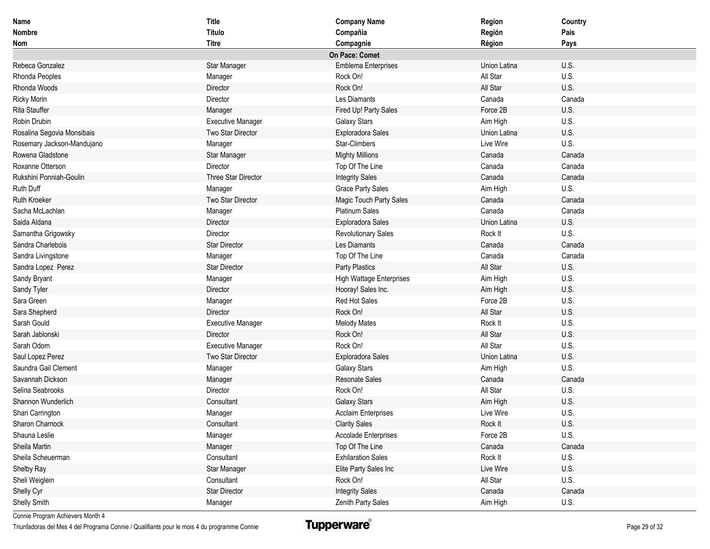| Name                       | <b>Title</b>             | <b>Company Name</b>             | Region       | Country |
|----------------------------|--------------------------|---------------------------------|--------------|---------|
| Nombre                     | Título                   | Compañia                        | Región       | Pais    |
| <b>Nom</b>                 | <b>Titre</b>             | Compagnie                       | Région       | Pays    |
|                            |                          | On Pace: Comet                  |              |         |
| Rebeca Gonzalez            | Star Manager             | <b>Emblema Enterprises</b>      | Union Latina | U.S.    |
| Rhonda Peoples             | Manager                  | Rock On!                        | All Star     | U.S.    |
| Rhonda Woods               | Director                 | Rock On!                        | All Star     | U.S.    |
| <b>Ricky Morin</b>         | Director                 | Les Diamants                    | Canada       | Canada  |
| <b>Rita Stauffer</b>       | Manager                  | Fired Up! Party Sales           | Force 2B     | U.S.    |
| Robin Drubin               | <b>Executive Manager</b> | <b>Galaxy Stars</b>             | Aim High     | U.S.    |
| Rosalina Segovia Monsibais | Two Star Director        | Exploradora Sales               | Union Latina | U.S.    |
| Rosemary Jackson-Mandujano | Manager                  | Star-Climbers                   | Live Wire    | U.S.    |
| Rowena Gladstone           | Star Manager             | <b>Mighty Millions</b>          | Canada       | Canada  |
| Roxanne Otterson           | Director                 | Top Of The Line                 | Canada       | Canada  |
| Rukshini Ponniah-Goulin    | Three Star Director      | <b>Integrity Sales</b>          | Canada       | Canada  |
| Ruth Duff                  | Manager                  | <b>Grace Party Sales</b>        | Aim High     | U.S.    |
| <b>Ruth Kroeker</b>        | Two Star Director        | Magic Touch Party Sales         | Canada       | Canada  |
| Sacha McLachlan            | Manager                  | <b>Platinum Sales</b>           | Canada       | Canada  |
| Saida Aldana               | Director                 | Exploradora Sales               | Union Latina | U.S.    |
| Samantha Grigowsky         | Director                 | <b>Revolutionary Sales</b>      | Rock It      | U.S.    |
| Sandra Charlebois          | <b>Star Director</b>     | Les Diamants                    | Canada       | Canada  |
| Sandra Livingstone         | Manager                  | Top Of The Line                 | Canada       | Canada  |
| Sandra Lopez Perez         | <b>Star Director</b>     | Party Plastics                  | All Star     | U.S.    |
| Sandy Bryant               | Manager                  | <b>High Wattage Enterprises</b> | Aim High     | U.S.    |
| Sandy Tyler                | Director                 | Hooray! Sales Inc.              | Aim High     | U.S.    |
| Sara Green                 | Manager                  | Red Hot Sales                   | Force 2B     | U.S.    |
| Sara Shepherd              | Director                 | Rock On!                        | All Star     | U.S.    |
| Sarah Gould                | <b>Executive Manager</b> | <b>Melody Mates</b>             | Rock It      | U.S.    |
| Sarah Jablonski            | Director                 | Rock On!                        | All Star     | U.S.    |
| Sarah Odom                 | <b>Executive Manager</b> | Rock On!                        | All Star     | U.S.    |
| Saul Lopez Perez           | Two Star Director        | Exploradora Sales               | Union Latina | U.S.    |
| Saundra Gail Clement       | Manager                  | <b>Galaxy Stars</b>             | Aim High     | U.S.    |
| Savannah Dickson           | Manager                  | <b>Resonate Sales</b>           | Canada       | Canada  |
| Selina Seabrooks           | Director                 | Rock On!                        | All Star     | U.S.    |
| Shannon Wunderlich         | Consultant               | <b>Galaxy Stars</b>             | Aim High     | U.S.    |
| Shari Carrington           | Manager                  | <b>Acclaim Enterprises</b>      | Live Wire    | U.S.    |
| Sharon Charnock            | Consultant               | <b>Clarity Sales</b>            | Rock It      | U.S.    |
| Shauna Leslie              | Manager                  | Accolade Enterprises            | Force 2B     | U.S.    |
| Sheila Martin              | Manager                  | Top Of The Line                 | Canada       | Canada  |
| Sheila Scheuerman          | Consultant               | <b>Exhilaration Sales</b>       | Rock It      | U.S.    |
| Shelby Ray                 | Star Manager             | Elite Party Sales Inc           | Live Wire    | U.S.    |
| Sheli Weiglein             | Consultant               | Rock On!                        | All Star     | U.S.    |
| Shelly Cyr                 | <b>Star Director</b>     | <b>Integrity Sales</b>          | Canada       | Canada  |
| Shelly Smith               | Manager                  | Zenith Party Sales              | Aim High     | U.S.    |

Triunfadoras del Mes 4 del Programa Connie / Qualifiants pour le mois 4 du programme Connie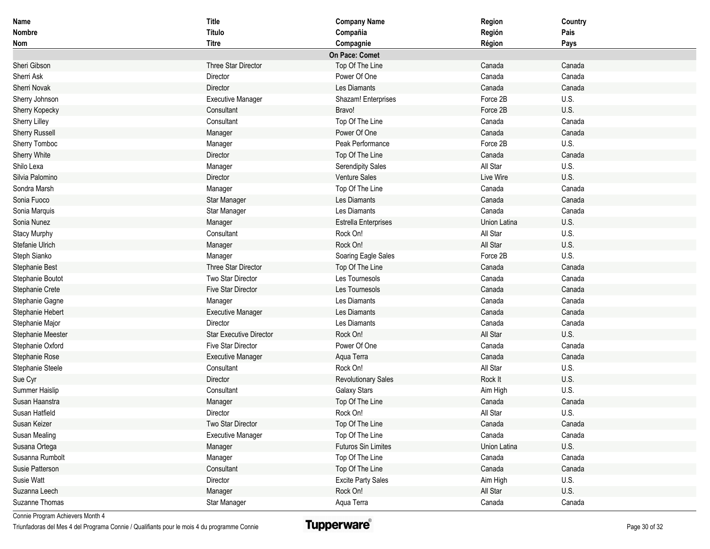| Name                  | <b>Title</b>                   | <b>Company Name</b>         | Region       | Country |
|-----------------------|--------------------------------|-----------------------------|--------------|---------|
| Nombre                | Título                         | Compañia                    | Región       | Pais    |
| Nom                   | <b>Titre</b>                   | Compagnie                   | Région       | Pays    |
|                       |                                | On Pace: Comet              |              |         |
| Sheri Gibson          | Three Star Director            | Top Of The Line             | Canada       | Canada  |
| Sherri Ask            | Director                       | Power Of One                | Canada       | Canada  |
| <b>Sherri Novak</b>   | Director                       | Les Diamants                | Canada       | Canada  |
| Sherry Johnson        | <b>Executive Manager</b>       | Shazam! Enterprises         | Force 2B     | U.S.    |
| Sherry Kopecky        | Consultant                     | Bravo!                      | Force 2B     | U.S.    |
| <b>Sherry Lilley</b>  | Consultant                     | Top Of The Line             | Canada       | Canada  |
| <b>Sherry Russell</b> | Manager                        | Power Of One                | Canada       | Canada  |
| Sherry Tomboc         | Manager                        | Peak Performance            | Force 2B     | U.S.    |
| <b>Sherry White</b>   | Director                       | Top Of The Line             | Canada       | Canada  |
| Shilo Lexa            | Manager                        | <b>Serendipity Sales</b>    | All Star     | U.S.    |
| Silvia Palomino       | Director                       | Venture Sales               | Live Wire    | U.S.    |
| Sondra Marsh          | Manager                        | Top Of The Line             | Canada       | Canada  |
| Sonia Fuoco           | Star Manager                   | Les Diamants                | Canada       | Canada  |
| Sonia Marquis         | Star Manager                   | Les Diamants                | Canada       | Canada  |
| Sonia Nunez           | Manager                        | <b>Estrella Enterprises</b> | Union Latina | U.S.    |
| <b>Stacy Murphy</b>   | Consultant                     | Rock On!                    | All Star     | U.S.    |
| Stefanie Ulrich       | Manager                        | Rock On!                    | All Star     | U.S.    |
| Steph Sianko          | Manager                        | Soaring Eagle Sales         | Force 2B     | U.S.    |
| Stephanie Best        | Three Star Director            | Top Of The Line             | Canada       | Canada  |
| Stephanie Boutot      | Two Star Director              | Les Tournesols              | Canada       | Canada  |
| Stephanie Crete       | Five Star Director             | Les Tournesols              | Canada       | Canada  |
| Stephanie Gagne       | Manager                        | Les Diamants                | Canada       | Canada  |
| Stephanie Hebert      | <b>Executive Manager</b>       | Les Diamants                | Canada       | Canada  |
| Stephanie Major       | Director                       | Les Diamants                | Canada       | Canada  |
| Stephanie Meester     | <b>Star Executive Director</b> | Rock On!                    | All Star     | U.S.    |
| Stephanie Oxford      | <b>Five Star Director</b>      | Power Of One                | Canada       | Canada  |
| Stephanie Rose        | <b>Executive Manager</b>       | Aqua Terra                  | Canada       | Canada  |
| Stephanie Steele      | Consultant                     | Rock On!                    | All Star     | U.S.    |
| Sue Cyr               | Director                       | <b>Revolutionary Sales</b>  | Rock It      | U.S.    |
| Summer Haislip        | Consultant                     | <b>Galaxy Stars</b>         | Aim High     | U.S.    |
| Susan Haanstra        | Manager                        | Top Of The Line             | Canada       | Canada  |
| Susan Hatfield        | Director                       | Rock On!                    | All Star     | U.S.    |
| Susan Keizer          | Two Star Director              | Top Of The Line             | Canada       | Canada  |
| Susan Mealing         | <b>Executive Manager</b>       | Top Of The Line             | Canada       | Canada  |
| Susana Ortega         | Manager                        | Futuros Sin Limites         | Union Latina | U.S.    |
| Susanna Rumbolt       | Manager                        | Top Of The Line             | Canada       | Canada  |
| Susie Patterson       | Consultant                     | Top Of The Line             | Canada       | Canada  |
| Susie Watt            | Director                       | <b>Excite Party Sales</b>   | Aim High     | U.S.    |
| Suzanna Leech         | Manager                        | Rock On!                    | All Star     | U.S.    |
| Suzanne Thomas        | Star Manager                   | Aqua Terra                  | Canada       | Canada  |

Triunfadoras del Mes 4 del Programa Connie / Qualifiants pour le mois 4 du programme Connie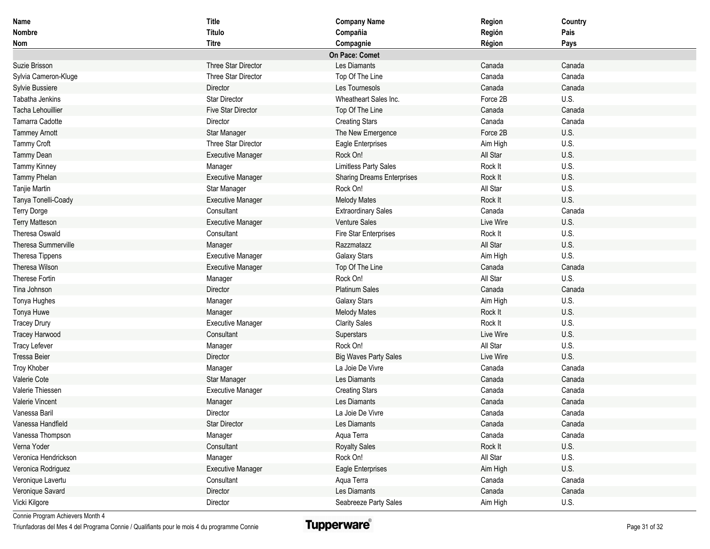| Name                       | <b>Title</b>              | <b>Company Name</b>               | Region    | Country |
|----------------------------|---------------------------|-----------------------------------|-----------|---------|
| Nombre                     | Título                    | Compañia                          | Región    | Pais    |
| Nom                        | <b>Titre</b>              | Compagnie                         | Région    | Pays    |
|                            |                           | On Pace: Comet                    |           |         |
| Suzie Brisson              | Three Star Director       | Les Diamants                      | Canada    | Canada  |
| Sylvia Cameron-Kluge       | Three Star Director       | Top Of The Line                   | Canada    | Canada  |
| Sylvie Bussiere            | Director                  | Les Tournesols                    | Canada    | Canada  |
| Tabatha Jenkins            | <b>Star Director</b>      | Wheatheart Sales Inc.             | Force 2B  | U.S.    |
| <b>Tacha Lehouillier</b>   | <b>Five Star Director</b> | Top Of The Line                   | Canada    | Canada  |
| Tamarra Cadotte            | Director                  | <b>Creating Stars</b>             | Canada    | Canada  |
| <b>Tammey Arnott</b>       | Star Manager              | The New Emergence                 | Force 2B  | U.S.    |
| Tammy Croft                | Three Star Director       | Eagle Enterprises                 | Aim High  | U.S.    |
| <b>Tammy Dean</b>          | <b>Executive Manager</b>  | Rock On!                          | All Star  | U.S.    |
| Tammy Kinney               | Manager                   | <b>Limitless Party Sales</b>      | Rock It   | U.S.    |
| Tammy Phelan               | <b>Executive Manager</b>  | <b>Sharing Dreams Enterprises</b> | Rock It   | U.S.    |
| Tanjie Martin              | Star Manager              | Rock On!                          | All Star  | U.S.    |
| Tanya Tonelli-Coady        | <b>Executive Manager</b>  | <b>Melody Mates</b>               | Rock It   | U.S.    |
| <b>Terry Dorge</b>         | Consultant                | <b>Extraordinary Sales</b>        | Canada    | Canada  |
| <b>Terry Matteson</b>      | <b>Executive Manager</b>  | Venture Sales                     | Live Wire | U.S.    |
| Theresa Oswald             | Consultant                | <b>Fire Star Enterprises</b>      | Rock It   | U.S.    |
| <b>Theresa Summerville</b> | Manager                   | Razzmatazz                        | All Star  | U.S.    |
| Theresa Tippens            | <b>Executive Manager</b>  | <b>Galaxy Stars</b>               | Aim High  | U.S.    |
| <b>Theresa Wilson</b>      | <b>Executive Manager</b>  | Top Of The Line                   | Canada    | Canada  |
| <b>Therese Fortin</b>      | Manager                   | Rock On!                          | All Star  | U.S.    |
| Tina Johnson               | Director                  | <b>Platinum Sales</b>             | Canada    | Canada  |
| Tonya Hughes               | Manager                   | Galaxy Stars                      | Aim High  | U.S.    |
| Tonya Huwe                 | Manager                   | <b>Melody Mates</b>               | Rock It   | U.S.    |
| <b>Tracey Drury</b>        | <b>Executive Manager</b>  | <b>Clarity Sales</b>              | Rock It   | U.S.    |
| <b>Tracey Harwood</b>      | Consultant                | Superstars                        | Live Wire | U.S.    |
| <b>Tracy Lefever</b>       | Manager                   | Rock On!                          | All Star  | U.S.    |
| <b>Tressa Beier</b>        | Director                  | <b>Big Waves Party Sales</b>      | Live Wire | U.S.    |
| Troy Khober                | Manager                   | La Joie De Vivre                  | Canada    | Canada  |
| Valerie Cote               | Star Manager              | Les Diamants                      | Canada    | Canada  |
| Valerie Thiessen           | <b>Executive Manager</b>  | <b>Creating Stars</b>             | Canada    | Canada  |
| Valerie Vincent            | Manager                   | Les Diamants                      | Canada    | Canada  |
| Vanessa Baril              | Director                  | La Joie De Vivre                  | Canada    | Canada  |
| Vanessa Handfield          | Star Director             | Les Diamants                      | Canada    | Canada  |
| Vanessa Thompson           | Manager                   | Aqua Terra                        | Canada    | Canada  |
| Verna Yoder                | Consultant                | <b>Royalty Sales</b>              | Rock It   | U.S.    |
| Veronica Hendrickson       | Manager                   | Rock On!                          | All Star  | U.S.    |
| Veronica Rodriguez         | <b>Executive Manager</b>  | Eagle Enterprises                 | Aim High  | U.S.    |
| Veronique Lavertu          | Consultant                | Aqua Terra                        | Canada    | Canada  |
| Veronique Savard           | Director                  | Les Diamants                      | Canada    | Canada  |
| Vicki Kilgore              | Director                  | Seabreeze Party Sales             | Aim High  | U.S.    |

Triunfadoras del Mes 4 del Programa Connie / Qualifiants pour le mois 4 du programme Connie